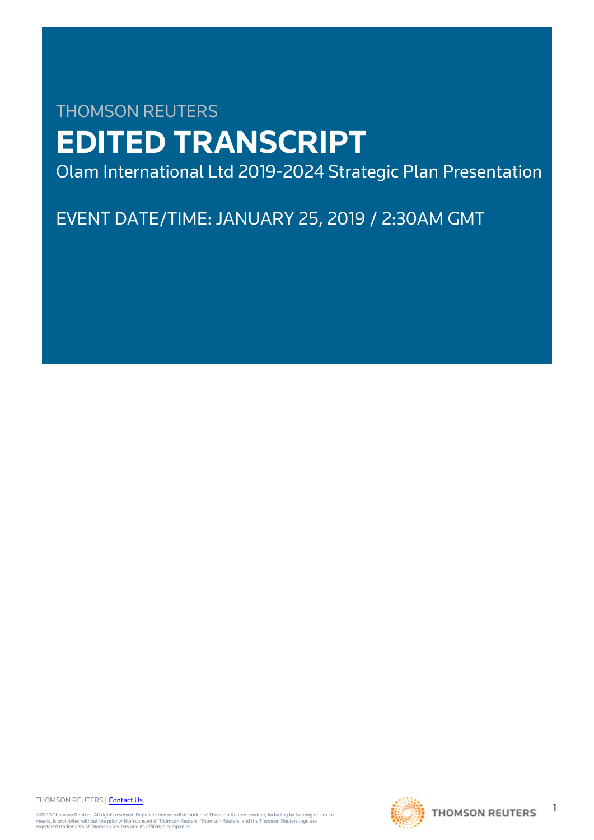# THOMSON REUTERS **EDITED TRANSCRIPT**

Olam International Ltd 2019-2024 Strategic Plan Presentation

EVENT DATE/TIME: JANUARY 25, 2019 / 2:30AM GMT

THOMSON REUTERS | [Contact Us](https://my.thomsonreuters.com/ContactUsNew)

©2020 Thomson Reuters. All rights reserved. Republication or redistribution of Thomson Reuters content, including by framing or similar<br>means, is prohibited without the prior written consent of Thomson Reuters. 'Thomson Re



1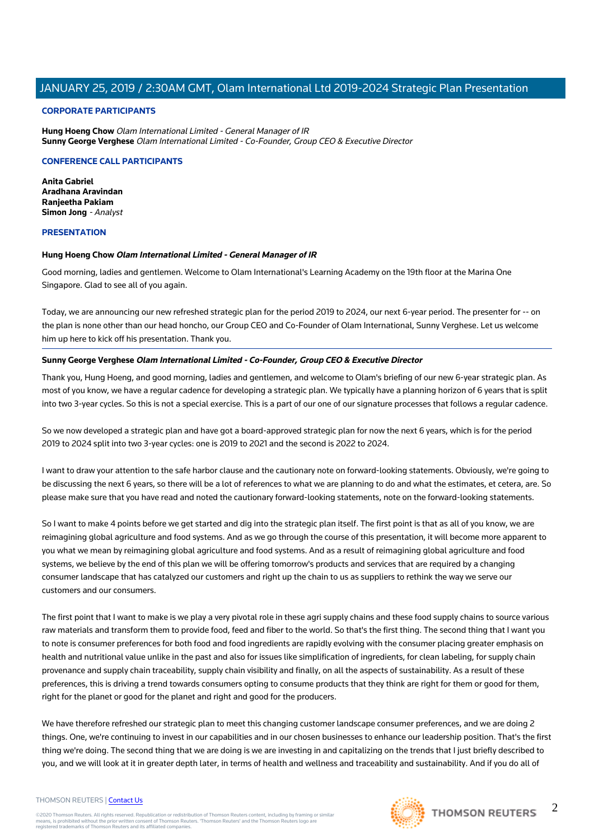#### **CORPORATE PARTICIPANTS**

**Hung Hoeng Chow** Olam International Limited - General Manager of IR **Sunny George Verghese** Olam International Limited - Co-Founder, Group CEO & Executive Director

#### **CONFERENCE CALL PARTICIPANTS**

**Anita Gabriel Aradhana Aravindan Ranjeetha Pakiam Simon Jong** - Analyst

#### **PRESENTATION**

#### **Hung Hoeng Chow Olam International Limited - General Manager of IR**

Good morning, ladies and gentlemen. Welcome to Olam International's Learning Academy on the 19th floor at the Marina One Singapore. Glad to see all of you again.

Today, we are announcing our new refreshed strategic plan for the period 2019 to 2024, our next 6-year period. The presenter for -- on the plan is none other than our head honcho, our Group CEO and Co-Founder of Olam International, Sunny Verghese. Let us welcome him up here to kick off his presentation. Thank you.

#### **Sunny George Verghese Olam International Limited - Co-Founder, Group CEO & Executive Director**

Thank you, Hung Hoeng, and good morning, ladies and gentlemen, and welcome to Olam's briefing of our new 6-year strategic plan. As most of you know, we have a regular cadence for developing a strategic plan. We typically have a planning horizon of 6 years that is split into two 3-year cycles. So this is not a special exercise. This is a part of our one of our signature processes that follows a regular cadence.

So we now developed a strategic plan and have got a board-approved strategic plan for now the next 6 years, which is for the period 2019 to 2024 split into two 3-year cycles: one is 2019 to 2021 and the second is 2022 to 2024.

I want to draw your attention to the safe harbor clause and the cautionary note on forward-looking statements. Obviously, we're going to be discussing the next 6 years, so there will be a lot of references to what we are planning to do and what the estimates, et cetera, are. So please make sure that you have read and noted the cautionary forward-looking statements, note on the forward-looking statements.

So I want to make 4 points before we get started and dig into the strategic plan itself. The first point is that as all of you know, we are reimagining global agriculture and food systems. And as we go through the course of this presentation, it will become more apparent to you what we mean by reimagining global agriculture and food systems. And as a result of reimagining global agriculture and food systems, we believe by the end of this plan we will be offering tomorrow's products and services that are required by a changing consumer landscape that has catalyzed our customers and right up the chain to us as suppliers to rethink the way we serve our customers and our consumers.

The first point that I want to make is we play a very pivotal role in these agri supply chains and these food supply chains to source various raw materials and transform them to provide food, feed and fiber to the world. So that's the first thing. The second thing that I want you to note is consumer preferences for both food and food ingredients are rapidly evolving with the consumer placing greater emphasis on health and nutritional value unlike in the past and also for issues like simplification of ingredients, for clean labeling, for supply chain provenance and supply chain traceability, supply chain visibility and finally, on all the aspects of sustainability. As a result of these preferences, this is driving a trend towards consumers opting to consume products that they think are right for them or good for them, right for the planet or good for the planet and right and good for the producers.

We have therefore refreshed our strategic plan to meet this changing customer landscape consumer preferences, and we are doing 2 things. One, we're continuing to invest in our capabilities and in our chosen businesses to enhance our leadership position. That's the first thing we're doing. The second thing that we are doing is we are investing in and capitalizing on the trends that I just briefly described to you, and we will look at it in greater depth later, in terms of health and wellness and traceability and sustainability. And if you do all of

#### THOMSON REUTERS | [Contact Us](https://my.thomsonreuters.com/ContactUsNew)

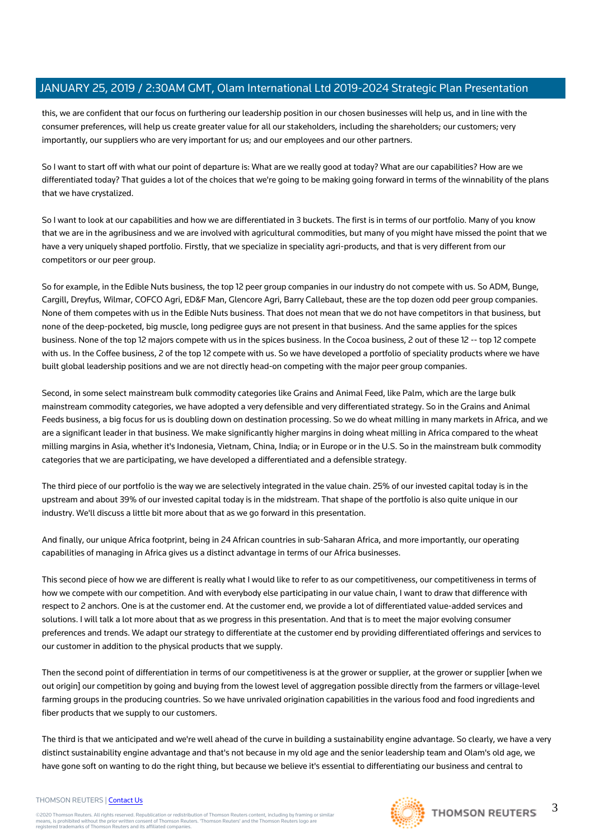this, we are confident that our focus on furthering our leadership position in our chosen businesses will help us, and in line with the consumer preferences, will help us create greater value for all our stakeholders, including the shareholders; our customers; very importantly, our suppliers who are very important for us; and our employees and our other partners.

So I want to start off with what our point of departure is: What are we really good at today? What are our capabilities? How are we differentiated today? That guides a lot of the choices that we're going to be making going forward in terms of the winnability of the plans that we have crystalized.

So I want to look at our capabilities and how we are differentiated in 3 buckets. The first is in terms of our portfolio. Many of you know that we are in the agribusiness and we are involved with agricultural commodities, but many of you might have missed the point that we have a very uniquely shaped portfolio. Firstly, that we specialize in speciality agri-products, and that is very different from our competitors or our peer group.

So for example, in the Edible Nuts business, the top 12 peer group companies in our industry do not compete with us. So ADM, Bunge, Cargill, Dreyfus, Wilmar, COFCO Agri, ED&F Man, Glencore Agri, Barry Callebaut, these are the top dozen odd peer group companies. None of them competes with us in the Edible Nuts business. That does not mean that we do not have competitors in that business, but none of the deep-pocketed, big muscle, long pedigree guys are not present in that business. And the same applies for the spices business. None of the top 12 majors compete with us in the spices business. In the Cocoa business, 2 out of these 12 -- top 12 compete with us. In the Coffee business, 2 of the top 12 compete with us. So we have developed a portfolio of speciality products where we have built global leadership positions and we are not directly head-on competing with the major peer group companies.

Second, in some select mainstream bulk commodity categories like Grains and Animal Feed, like Palm, which are the large bulk mainstream commodity categories, we have adopted a very defensible and very differentiated strategy. So in the Grains and Animal Feeds business, a big focus for us is doubling down on destination processing. So we do wheat milling in many markets in Africa, and we are a significant leader in that business. We make significantly higher margins in doing wheat milling in Africa compared to the wheat milling margins in Asia, whether it's Indonesia, Vietnam, China, India; or in Europe or in the U.S. So in the mainstream bulk commodity categories that we are participating, we have developed a differentiated and a defensible strategy.

The third piece of our portfolio is the way we are selectively integrated in the value chain. 25% of our invested capital today is in the upstream and about 39% of our invested capital today is in the midstream. That shape of the portfolio is also quite unique in our industry. We'll discuss a little bit more about that as we go forward in this presentation.

And finally, our unique Africa footprint, being in 24 African countries in sub-Saharan Africa, and more importantly, our operating capabilities of managing in Africa gives us a distinct advantage in terms of our Africa businesses.

This second piece of how we are different is really what I would like to refer to as our competitiveness, our competitiveness in terms of how we compete with our competition. And with everybody else participating in our value chain, I want to draw that difference with respect to 2 anchors. One is at the customer end. At the customer end, we provide a lot of differentiated value-added services and solutions. I will talk a lot more about that as we progress in this presentation. And that is to meet the major evolving consumer preferences and trends. We adapt our strategy to differentiate at the customer end by providing differentiated offerings and services to our customer in addition to the physical products that we supply.

Then the second point of differentiation in terms of our competitiveness is at the grower or supplier, at the grower or supplier [when we out origin] our competition by going and buying from the lowest level of aggregation possible directly from the farmers or village-level farming groups in the producing countries. So we have unrivaled origination capabilities in the various food and food ingredients and fiber products that we supply to our customers.

The third is that we anticipated and we're well ahead of the curve in building a sustainability engine advantage. So clearly, we have a very distinct sustainability engine advantage and that's not because in my old age and the senior leadership team and Olam's old age, we have gone soft on wanting to do the right thing, but because we believe it's essential to differentiating our business and central to

#### THOMSON REUTERS | [Contact Us](https://my.thomsonreuters.com/ContactUsNew)

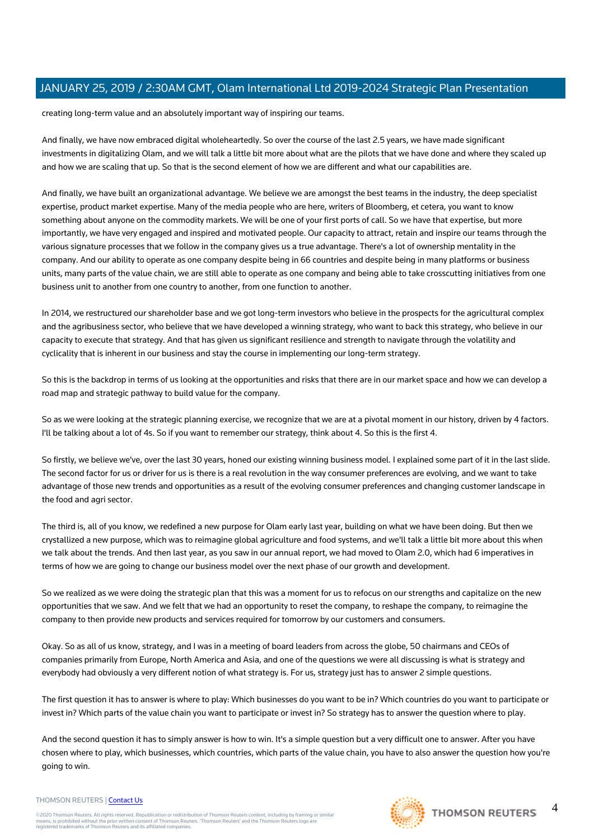creating long-term value and an absolutely important way of inspiring our teams.

And finally, we have now embraced digital wholeheartedly. So over the course of the last 2.5 years, we have made significant investments in digitalizing Olam, and we will talk a little bit more about what are the pilots that we have done and where they scaled up and how we are scaling that up. So that is the second element of how we are different and what our capabilities are.

And finally, we have built an organizational advantage. We believe we are amongst the best teams in the industry, the deep specialist expertise, product market expertise. Many of the media people who are here, writers of Bloomberg, et cetera, you want to know something about anyone on the commodity markets. We will be one of your first ports of call. So we have that expertise, but more importantly, we have very engaged and inspired and motivated people. Our capacity to attract, retain and inspire our teams through the various signature processes that we follow in the company gives us a true advantage. There's a lot of ownership mentality in the company. And our ability to operate as one company despite being in 66 countries and despite being in many platforms or business units, many parts of the value chain, we are still able to operate as one company and being able to take crosscutting initiatives from one business unit to another from one country to another, from one function to another.

In 2014, we restructured our shareholder base and we got long-term investors who believe in the prospects for the agricultural complex and the agribusiness sector, who believe that we have developed a winning strategy, who want to back this strategy, who believe in our capacity to execute that strategy. And that has given us significant resilience and strength to navigate through the volatility and cyclicality that is inherent in our business and stay the course in implementing our long-term strategy.

So this is the backdrop in terms of us looking at the opportunities and risks that there are in our market space and how we can develop a road map and strategic pathway to build value for the company.

So as we were looking at the strategic planning exercise, we recognize that we are at a pivotal moment in our history, driven by 4 factors. I'll be talking about a lot of 4s. So if you want to remember our strategy, think about 4. So this is the first 4.

So firstly, we believe we've, over the last 30 years, honed our existing winning business model. I explained some part of it in the last slide. The second factor for us or driver for us is there is a real revolution in the way consumer preferences are evolving, and we want to take advantage of those new trends and opportunities as a result of the evolving consumer preferences and changing customer landscape in the food and agri sector.

The third is, all of you know, we redefined a new purpose for Olam early last year, building on what we have been doing. But then we crystallized a new purpose, which was to reimagine global agriculture and food systems, and we'll talk a little bit more about this when we talk about the trends. And then last year, as you saw in our annual report, we had moved to Olam 2.0, which had 6 imperatives in terms of how we are going to change our business model over the next phase of our growth and development.

So we realized as we were doing the strategic plan that this was a moment for us to refocus on our strengths and capitalize on the new opportunities that we saw. And we felt that we had an opportunity to reset the company, to reshape the company, to reimagine the company to then provide new products and services required for tomorrow by our customers and consumers.

Okay. So as all of us know, strategy, and I was in a meeting of board leaders from across the globe, 50 chairmans and CEOs of companies primarily from Europe, North America and Asia, and one of the questions we were all discussing is what is strategy and everybody had obviously a very different notion of what strategy is. For us, strategy just has to answer 2 simple questions.

The first question it has to answer is where to play: Which businesses do you want to be in? Which countries do you want to participate or invest in? Which parts of the value chain you want to participate or invest in? So strategy has to answer the question where to play.

And the second question it has to simply answer is how to win. It's a simple question but a very difficult one to answer. After you have chosen where to play, which businesses, which countries, which parts of the value chain, you have to also answer the question how you're going to win.

#### THOMSON REUTERS | [Contact Us](https://my.thomsonreuters.com/ContactUsNew)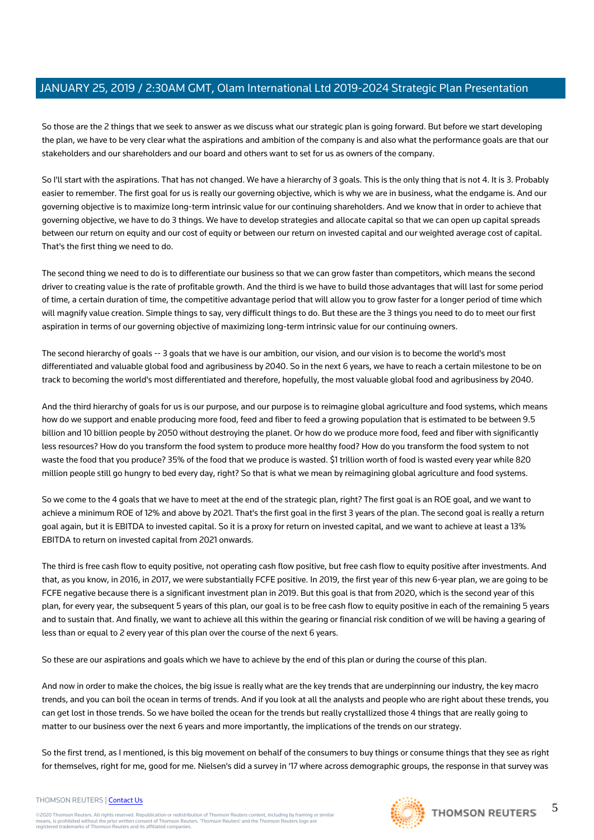So those are the 2 things that we seek to answer as we discuss what our strategic plan is going forward. But before we start developing the plan, we have to be very clear what the aspirations and ambition of the company is and also what the performance goals are that our stakeholders and our shareholders and our board and others want to set for us as owners of the company.

So I'll start with the aspirations. That has not changed. We have a hierarchy of 3 goals. This is the only thing that is not 4. It is 3. Probably easier to remember. The first goal for us is really our governing objective, which is why we are in business, what the endgame is. And our governing objective is to maximize long-term intrinsic value for our continuing shareholders. And we know that in order to achieve that governing objective, we have to do 3 things. We have to develop strategies and allocate capital so that we can open up capital spreads between our return on equity and our cost of equity or between our return on invested capital and our weighted average cost of capital. That's the first thing we need to do.

The second thing we need to do is to differentiate our business so that we can grow faster than competitors, which means the second driver to creating value is the rate of profitable growth. And the third is we have to build those advantages that will last for some period of time, a certain duration of time, the competitive advantage period that will allow you to grow faster for a longer period of time which will magnify value creation. Simple things to say, very difficult things to do. But these are the 3 things you need to do to meet our first aspiration in terms of our governing objective of maximizing long-term intrinsic value for our continuing owners.

The second hierarchy of goals -- 3 goals that we have is our ambition, our vision, and our vision is to become the world's most differentiated and valuable global food and agribusiness by 2040. So in the next 6 years, we have to reach a certain milestone to be on track to becoming the world's most differentiated and therefore, hopefully, the most valuable global food and agribusiness by 2040.

And the third hierarchy of goals for us is our purpose, and our purpose is to reimagine global agriculture and food systems, which means how do we support and enable producing more food, feed and fiber to feed a growing population that is estimated to be between 9.5 billion and 10 billion people by 2050 without destroying the planet. Or how do we produce more food, feed and fiber with significantly less resources? How do you transform the food system to produce more healthy food? How do you transform the food system to not waste the food that you produce? 35% of the food that we produce is wasted. \$1 trillion worth of food is wasted every year while 820 million people still go hungry to bed every day, right? So that is what we mean by reimagining global agriculture and food systems.

So we come to the 4 goals that we have to meet at the end of the strategic plan, right? The first goal is an ROE goal, and we want to achieve a minimum ROE of 12% and above by 2021. That's the first goal in the first 3 years of the plan. The second goal is really a return goal again, but it is EBITDA to invested capital. So it is a proxy for return on invested capital, and we want to achieve at least a 13% EBITDA to return on invested capital from 2021 onwards.

The third is free cash flow to equity positive, not operating cash flow positive, but free cash flow to equity positive after investments. And that, as you know, in 2016, in 2017, we were substantially FCFE positive. In 2019, the first year of this new 6-year plan, we are going to be FCFE negative because there is a significant investment plan in 2019. But this goal is that from 2020, which is the second year of this plan, for every year, the subsequent 5 years of this plan, our goal is to be free cash flow to equity positive in each of the remaining 5 years and to sustain that. And finally, we want to achieve all this within the gearing or financial risk condition of we will be having a gearing of less than or equal to 2 every year of this plan over the course of the next 6 years.

So these are our aspirations and goals which we have to achieve by the end of this plan or during the course of this plan.

And now in order to make the choices, the big issue is really what are the key trends that are underpinning our industry, the key macro trends, and you can boil the ocean in terms of trends. And if you look at all the analysts and people who are right about these trends, you can get lost in those trends. So we have boiled the ocean for the trends but really crystallized those 4 things that are really going to matter to our business over the next 6 years and more importantly, the implications of the trends on our strategy.

So the first trend, as I mentioned, is this big movement on behalf of the consumers to buy things or consume things that they see as right for themselves, right for me, good for me. Nielsen's did a survey in '17 where across demographic groups, the response in that survey was

#### THOMSON REUTERS | [Contact Us](https://my.thomsonreuters.com/ContactUsNew)

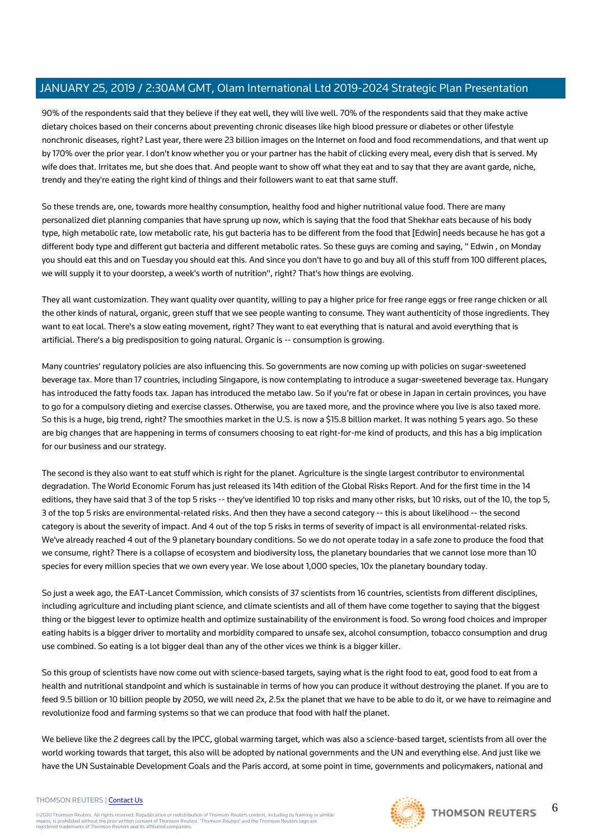90% of the respondents said that they believe if they eat well, they will live well. 70% of the respondents said that they make active dietary choices based on their concerns about preventing chronic diseases like high blood pressure or diabetes or other lifestyle nonchronic diseases, right? Last year, there were 23 billion images on the Internet on food and food recommendations, and that went up by 170% over the prior year. I don't know whether you or your partner has the habit of clicking every meal, every dish that is served. My wife does that. Irritates me, but she does that. And people want to show off what they eat and to say that they are avant garde, niche, trendy and they're eating the right kind of things and their followers want to eat that same stuff.

So these trends are, one, towards more healthy consumption, healthy food and higher nutritional value food. There are many personalized diet planning companies that have sprung up now, which is saying that the food that Shekhar eats because of his body type, high metabolic rate, low metabolic rate, his gut bacteria has to be different from the food that [Edwin] needs because he has got a different body type and different gut bacteria and different metabolic rates. So these guys are coming and saying, " Edwin , on Monday you should eat this and on Tuesday you should eat this. And since you don't have to go and buy all of this stuff from 100 different places, we will supply it to your doorstep, a week's worth of nutrition", right? That's how things are evolving.

They all want customization. They want quality over quantity, willing to pay a higher price for free range eggs or free range chicken or all the other kinds of natural, organic, green stuff that we see people wanting to consume. They want authenticity of those ingredients. They want to eat local. There's a slow eating movement, right? They want to eat everything that is natural and avoid everything that is artificial. There's a big predisposition to going natural. Organic is -- consumption is growing.

Many countries' regulatory policies are also influencing this. So governments are now coming up with policies on sugar-sweetened beverage tax. More than 17 countries, including Singapore, is now contemplating to introduce a sugar-sweetened beverage tax. Hungary has introduced the fatty foods tax. Japan has introduced the metabo law. So if you're fat or obese in Japan in certain provinces, you have to go for a compulsory dieting and exercise classes. Otherwise, you are taxed more, and the province where you live is also taxed more. So this is a huge, big trend, right? The smoothies market in the U.S. is now a \$15.8 billion market. It was nothing 5 years ago. So these are big changes that are happening in terms of consumers choosing to eat right-for-me kind of products, and this has a big implication for our business and our strategy.

The second is they also want to eat stuff which is right for the planet. Agriculture is the single largest contributor to environmental degradation. The World Economic Forum has just released its 14th edition of the Global Risks Report. And for the first time in the 14 editions, they have said that 3 of the top 5 risks -- they've identified 10 top risks and many other risks, but 10 risks, out of the 10, the top 5, 3 of the top 5 risks are environmental-related risks. And then they have a second category -- this is about likelihood -- the second category is about the severity of impact. And 4 out of the top 5 risks in terms of severity of impact is all environmental-related risks. We've already reached 4 out of the 9 planetary boundary conditions. So we do not operate today in a safe zone to produce the food that we consume, right? There is a collapse of ecosystem and biodiversity loss, the planetary boundaries that we cannot lose more than 10 species for every million species that we own every year. We lose about 1,000 species, 10x the planetary boundary today.

So just a week ago, the EAT-Lancet Commission, which consists of 37 scientists from 16 countries, scientists from different disciplines, including agriculture and including plant science, and climate scientists and all of them have come together to saying that the biggest thing or the biggest lever to optimize health and optimize sustainability of the environment is food. So wrong food choices and improper eating habits is a bigger driver to mortality and morbidity compared to unsafe sex, alcohol consumption, tobacco consumption and drug use combined. So eating is a lot bigger deal than any of the other vices we think is a bigger killer.

So this group of scientists have now come out with science-based targets, saying what is the right food to eat, good food to eat from a health and nutritional standpoint and which is sustainable in terms of how you can produce it without destroying the planet. If you are to feed 9.5 billion or 10 billion people by 2050, we will need 2x, 2.5x the planet that we have to be able to do it, or we have to reimagine and revolutionize food and farming systems so that we can produce that food with half the planet.

We believe like the 2 degrees call by the IPCC, global warming target, which was also a science-based target, scientists from all over the world working towards that target, this also will be adopted by national governments and the UN and everything else. And just like we have the UN Sustainable Development Goals and the Paris accord, at some point in time, governments and policymakers, national and

#### THOMSON REUTERS | [Contact Us](https://my.thomsonreuters.com/ContactUsNew)

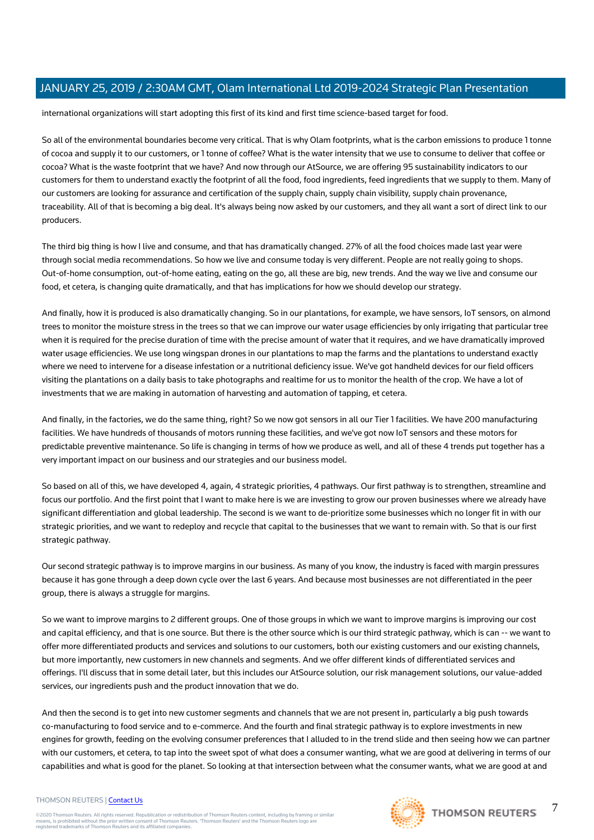international organizations will start adopting this first of its kind and first time science-based target for food.

So all of the environmental boundaries become very critical. That is why Olam footprints, what is the carbon emissions to produce 1 tonne of cocoa and supply it to our customers, or 1 tonne of coffee? What is the water intensity that we use to consume to deliver that coffee or cocoa? What is the waste footprint that we have? And now through our AtSource, we are offering 95 sustainability indicators to our customers for them to understand exactly the footprint of all the food, food ingredients, feed ingredients that we supply to them. Many of our customers are looking for assurance and certification of the supply chain, supply chain visibility, supply chain provenance, traceability. All of that is becoming a big deal. It's always being now asked by our customers, and they all want a sort of direct link to our producers.

The third big thing is how I live and consume, and that has dramatically changed. 27% of all the food choices made last year were through social media recommendations. So how we live and consume today is very different. People are not really going to shops. Out-of-home consumption, out-of-home eating, eating on the go, all these are big, new trends. And the way we live and consume our food, et cetera, is changing quite dramatically, and that has implications for how we should develop our strategy.

And finally, how it is produced is also dramatically changing. So in our plantations, for example, we have sensors, IoT sensors, on almond trees to monitor the moisture stress in the trees so that we can improve our water usage efficiencies by only irrigating that particular tree when it is required for the precise duration of time with the precise amount of water that it requires, and we have dramatically improved water usage efficiencies. We use long wingspan drones in our plantations to map the farms and the plantations to understand exactly where we need to intervene for a disease infestation or a nutritional deficiency issue. We've got handheld devices for our field officers visiting the plantations on a daily basis to take photographs and realtime for us to monitor the health of the crop. We have a lot of investments that we are making in automation of harvesting and automation of tapping, et cetera.

And finally, in the factories, we do the same thing, right? So we now got sensors in all our Tier 1 facilities. We have 200 manufacturing facilities. We have hundreds of thousands of motors running these facilities, and we've got now IoT sensors and these motors for predictable preventive maintenance. So life is changing in terms of how we produce as well, and all of these 4 trends put together has a very important impact on our business and our strategies and our business model.

So based on all of this, we have developed 4, again, 4 strategic priorities, 4 pathways. Our first pathway is to strengthen, streamline and focus our portfolio. And the first point that I want to make here is we are investing to grow our proven businesses where we already have significant differentiation and global leadership. The second is we want to de-prioritize some businesses which no longer fit in with our strategic priorities, and we want to redeploy and recycle that capital to the businesses that we want to remain with. So that is our first strategic pathway.

Our second strategic pathway is to improve margins in our business. As many of you know, the industry is faced with margin pressures because it has gone through a deep down cycle over the last 6 years. And because most businesses are not differentiated in the peer group, there is always a struggle for margins.

So we want to improve margins to 2 different groups. One of those groups in which we want to improve margins is improving our cost and capital efficiency, and that is one source. But there is the other source which is our third strategic pathway, which is can -- we want to offer more differentiated products and services and solutions to our customers, both our existing customers and our existing channels, but more importantly, new customers in new channels and segments. And we offer different kinds of differentiated services and offerings. I'll discuss that in some detail later, but this includes our AtSource solution, our risk management solutions, our value-added services, our ingredients push and the product innovation that we do.

And then the second is to get into new customer segments and channels that we are not present in, particularly a big push towards co-manufacturing to food service and to e-commerce. And the fourth and final strategic pathway is to explore investments in new engines for growth, feeding on the evolving consumer preferences that I alluded to in the trend slide and then seeing how we can partner with our customers, et cetera, to tap into the sweet spot of what does a consumer wanting, what we are good at delivering in terms of our capabilities and what is good for the planet. So looking at that intersection between what the consumer wants, what we are good at and

#### THOMSON REUTERS | [Contact Us](https://my.thomsonreuters.com/ContactUsNew)

©2020 Thomson Reuters. All rights reserved. Republication or redistribution of Thomson Reuters content, including by framing or similar<br>means, is prohibited without the prior written consent of Thomson Reuters. 'Thomson Re



7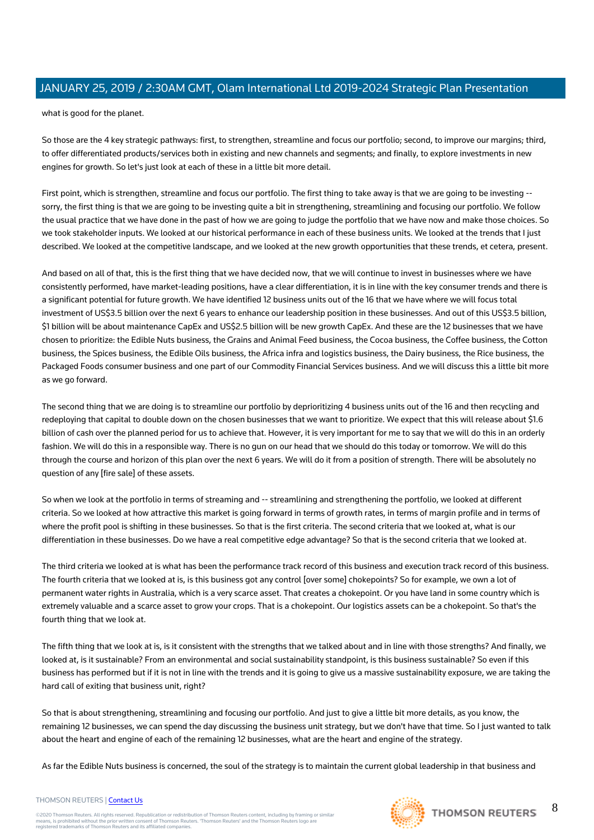what is good for the planet.

So those are the 4 key strategic pathways: first, to strengthen, streamline and focus our portfolio; second, to improve our margins; third, to offer differentiated products/services both in existing and new channels and segments; and finally, to explore investments in new engines for growth. So let's just look at each of these in a little bit more detail.

First point, which is strengthen, streamline and focus our portfolio. The first thing to take away is that we are going to be investing - sorry, the first thing is that we are going to be investing quite a bit in strengthening, streamlining and focusing our portfolio. We follow the usual practice that we have done in the past of how we are going to judge the portfolio that we have now and make those choices. So we took stakeholder inputs. We looked at our historical performance in each of these business units. We looked at the trends that I just described. We looked at the competitive landscape, and we looked at the new growth opportunities that these trends, et cetera, present.

And based on all of that, this is the first thing that we have decided now, that we will continue to invest in businesses where we have consistently performed, have market-leading positions, have a clear differentiation, it is in line with the key consumer trends and there is a significant potential for future growth. We have identified 12 business units out of the 16 that we have where we will focus total investment of US\$3.5 billion over the next 6 years to enhance our leadership position in these businesses. And out of this US\$3.5 billion, \$1 billion will be about maintenance CapEx and US\$2.5 billion will be new growth CapEx. And these are the 12 businesses that we have chosen to prioritize: the Edible Nuts business, the Grains and Animal Feed business, the Cocoa business, the Coffee business, the Cotton business, the Spices business, the Edible Oils business, the Africa infra and logistics business, the Dairy business, the Rice business, the Packaged Foods consumer business and one part of our Commodity Financial Services business. And we will discuss this a little bit more as we go forward.

The second thing that we are doing is to streamline our portfolio by deprioritizing 4 business units out of the 16 and then recycling and redeploying that capital to double down on the chosen businesses that we want to prioritize. We expect that this will release about \$1.6 billion of cash over the planned period for us to achieve that. However, it is very important for me to say that we will do this in an orderly fashion. We will do this in a responsible way. There is no gun on our head that we should do this today or tomorrow. We will do this through the course and horizon of this plan over the next 6 years. We will do it from a position of strength. There will be absolutely no question of any [fire sale] of these assets.

So when we look at the portfolio in terms of streaming and -- streamlining and strengthening the portfolio, we looked at different criteria. So we looked at how attractive this market is going forward in terms of growth rates, in terms of margin profile and in terms of where the profit pool is shifting in these businesses. So that is the first criteria. The second criteria that we looked at, what is our differentiation in these businesses. Do we have a real competitive edge advantage? So that is the second criteria that we looked at.

The third criteria we looked at is what has been the performance track record of this business and execution track record of this business. The fourth criteria that we looked at is, is this business got any control [over some] chokepoints? So for example, we own a lot of permanent water rights in Australia, which is a very scarce asset. That creates a chokepoint. Or you have land in some country which is extremely valuable and a scarce asset to grow your crops. That is a chokepoint. Our logistics assets can be a chokepoint. So that's the fourth thing that we look at.

The fifth thing that we look at is, is it consistent with the strengths that we talked about and in line with those strengths? And finally, we looked at, is it sustainable? From an environmental and social sustainability standpoint, is this business sustainable? So even if this business has performed but if it is not in line with the trends and it is going to give us a massive sustainability exposure, we are taking the hard call of exiting that business unit, right?

So that is about strengthening, streamlining and focusing our portfolio. And just to give a little bit more details, as you know, the remaining 12 businesses, we can spend the day discussing the business unit strategy, but we don't have that time. So I just wanted to talk about the heart and engine of each of the remaining 12 businesses, what are the heart and engine of the strategy.

As far the Edible Nuts business is concerned, the soul of the strategy is to maintain the current global leadership in that business and

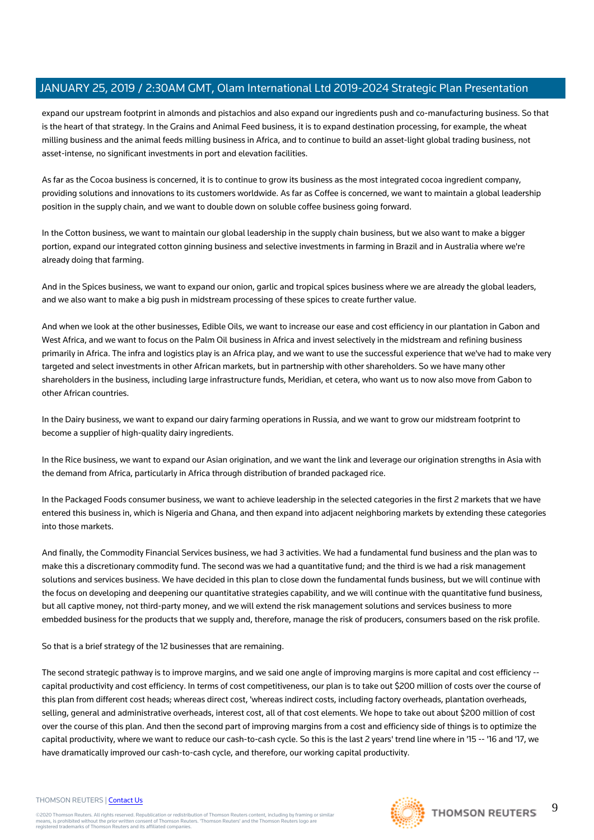expand our upstream footprint in almonds and pistachios and also expand our ingredients push and co-manufacturing business. So that is the heart of that strategy. In the Grains and Animal Feed business, it is to expand destination processing, for example, the wheat milling business and the animal feeds milling business in Africa, and to continue to build an asset-light global trading business, not asset-intense, no significant investments in port and elevation facilities.

As far as the Cocoa business is concerned, it is to continue to grow its business as the most integrated cocoa ingredient company, providing solutions and innovations to its customers worldwide. As far as Coffee is concerned, we want to maintain a global leadership position in the supply chain, and we want to double down on soluble coffee business going forward.

In the Cotton business, we want to maintain our global leadership in the supply chain business, but we also want to make a bigger portion, expand our integrated cotton ginning business and selective investments in farming in Brazil and in Australia where we're already doing that farming.

And in the Spices business, we want to expand our onion, garlic and tropical spices business where we are already the global leaders, and we also want to make a big push in midstream processing of these spices to create further value.

And when we look at the other businesses, Edible Oils, we want to increase our ease and cost efficiency in our plantation in Gabon and West Africa, and we want to focus on the Palm Oil business in Africa and invest selectively in the midstream and refining business primarily in Africa. The infra and logistics play is an Africa play, and we want to use the successful experience that we've had to make very targeted and select investments in other African markets, but in partnership with other shareholders. So we have many other shareholders in the business, including large infrastructure funds, Meridian, et cetera, who want us to now also move from Gabon to other African countries.

In the Dairy business, we want to expand our dairy farming operations in Russia, and we want to grow our midstream footprint to become a supplier of high-quality dairy ingredients.

In the Rice business, we want to expand our Asian origination, and we want the link and leverage our origination strengths in Asia with the demand from Africa, particularly in Africa through distribution of branded packaged rice.

In the Packaged Foods consumer business, we want to achieve leadership in the selected categories in the first 2 markets that we have entered this business in, which is Nigeria and Ghana, and then expand into adjacent neighboring markets by extending these categories into those markets.

And finally, the Commodity Financial Services business, we had 3 activities. We had a fundamental fund business and the plan was to make this a discretionary commodity fund. The second was we had a quantitative fund; and the third is we had a risk management solutions and services business. We have decided in this plan to close down the fundamental funds business, but we will continue with the focus on developing and deepening our quantitative strategies capability, and we will continue with the quantitative fund business, but all captive money, not third-party money, and we will extend the risk management solutions and services business to more embedded business for the products that we supply and, therefore, manage the risk of producers, consumers based on the risk profile.

So that is a brief strategy of the 12 businesses that are remaining.

The second strategic pathway is to improve margins, and we said one angle of improving margins is more capital and cost efficiency - capital productivity and cost efficiency. In terms of cost competitiveness, our plan is to take out \$200 million of costs over the course of this plan from different cost heads; whereas direct cost, 'whereas indirect costs, including factory overheads, plantation overheads, selling, general and administrative overheads, interest cost, all of that cost elements. We hope to take out about \$200 million of cost over the course of this plan. And then the second part of improving margins from a cost and efficiency side of things is to optimize the capital productivity, where we want to reduce our cash-to-cash cycle. So this is the last 2 years' trend line where in '15 -- '16 and '17, we have dramatically improved our cash-to-cash cycle, and therefore, our working capital productivity.

#### THOMSON REUTERS | [Contact Us](https://my.thomsonreuters.com/ContactUsNew)

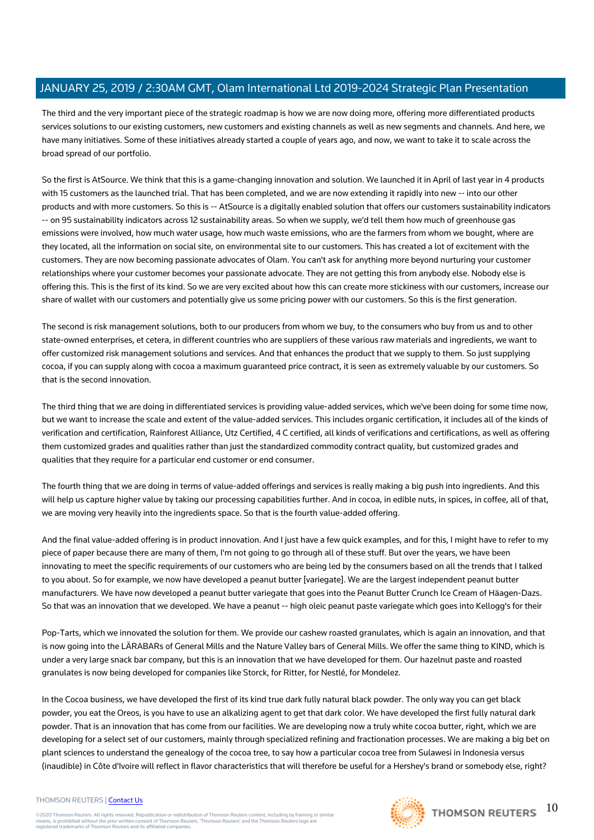The third and the very important piece of the strategic roadmap is how we are now doing more, offering more differentiated products services solutions to our existing customers, new customers and existing channels as well as new segments and channels. And here, we have many initiatives. Some of these initiatives already started a couple of years ago, and now, we want to take it to scale across the broad spread of our portfolio.

So the first is AtSource. We think that this is a game-changing innovation and solution. We launched it in April of last year in 4 products with 15 customers as the launched trial. That has been completed, and we are now extending it rapidly into new -- into our other products and with more customers. So this is -- AtSource is a digitally enabled solution that offers our customers sustainability indicators -- on 95 sustainability indicators across 12 sustainability areas. So when we supply, we'd tell them how much of greenhouse gas emissions were involved, how much water usage, how much waste emissions, who are the farmers from whom we bought, where are they located, all the information on social site, on environmental site to our customers. This has created a lot of excitement with the customers. They are now becoming passionate advocates of Olam. You can't ask for anything more beyond nurturing your customer relationships where your customer becomes your passionate advocate. They are not getting this from anybody else. Nobody else is offering this. This is the first of its kind. So we are very excited about how this can create more stickiness with our customers, increase our share of wallet with our customers and potentially give us some pricing power with our customers. So this is the first generation.

The second is risk management solutions, both to our producers from whom we buy, to the consumers who buy from us and to other state-owned enterprises, et cetera, in different countries who are suppliers of these various raw materials and ingredients, we want to offer customized risk management solutions and services. And that enhances the product that we supply to them. So just supplying cocoa, if you can supply along with cocoa a maximum guaranteed price contract, it is seen as extremely valuable by our customers. So that is the second innovation.

The third thing that we are doing in differentiated services is providing value-added services, which we've been doing for some time now, but we want to increase the scale and extent of the value-added services. This includes organic certification, it includes all of the kinds of verification and certification, Rainforest Alliance, Utz Certified, 4 C certified, all kinds of verifications and certifications, as well as offering them customized grades and qualities rather than just the standardized commodity contract quality, but customized grades and qualities that they require for a particular end customer or end consumer.

The fourth thing that we are doing in terms of value-added offerings and services is really making a big push into ingredients. And this will help us capture higher value by taking our processing capabilities further. And in cocoa, in edible nuts, in spices, in coffee, all of that, we are moving very heavily into the ingredients space. So that is the fourth value-added offering.

And the final value-added offering is in product innovation. And I just have a few quick examples, and for this, I might have to refer to my piece of paper because there are many of them, I'm not going to go through all of these stuff. But over the years, we have been innovating to meet the specific requirements of our customers who are being led by the consumers based on all the trends that I talked to you about. So for example, we now have developed a peanut butter [variegate]. We are the largest independent peanut butter manufacturers. We have now developed a peanut butter variegate that goes into the Peanut Butter Crunch Ice Cream of Häagen-Dazs. So that was an innovation that we developed. We have a peanut -- high oleic peanut paste variegate which goes into Kellogg's for their

Pop-Tarts, which we innovated the solution for them. We provide our cashew roasted granulates, which is again an innovation, and that is now going into the LÄRABARs of General Mills and the Nature Valley bars of General Mills. We offer the same thing to KIND, which is under a very large snack bar company, but this is an innovation that we have developed for them. Our hazelnut paste and roasted granulates is now being developed for companies like Storck, for Ritter, for Nestlé, for Mondelez.

In the Cocoa business, we have developed the first of its kind true dark fully natural black powder. The only way you can get black powder, you eat the Oreos, is you have to use an alkalizing agent to get that dark color. We have developed the first fully natural dark powder. That is an innovation that has come from our facilities. We are developing now a truly white cocoa butter, right, which we are developing for a select set of our customers, mainly through specialized refining and fractionation processes. We are making a big bet on plant sciences to understand the genealogy of the cocoa tree, to say how a particular cocoa tree from Sulawesi in Indonesia versus (inaudible) in Côte d'Ivoire will reflect in flavor characteristics that will therefore be useful for a Hershey's brand or somebody else, right?

#### THOMSON REUTERS | [Contact Us](https://my.thomsonreuters.com/ContactUsNew)

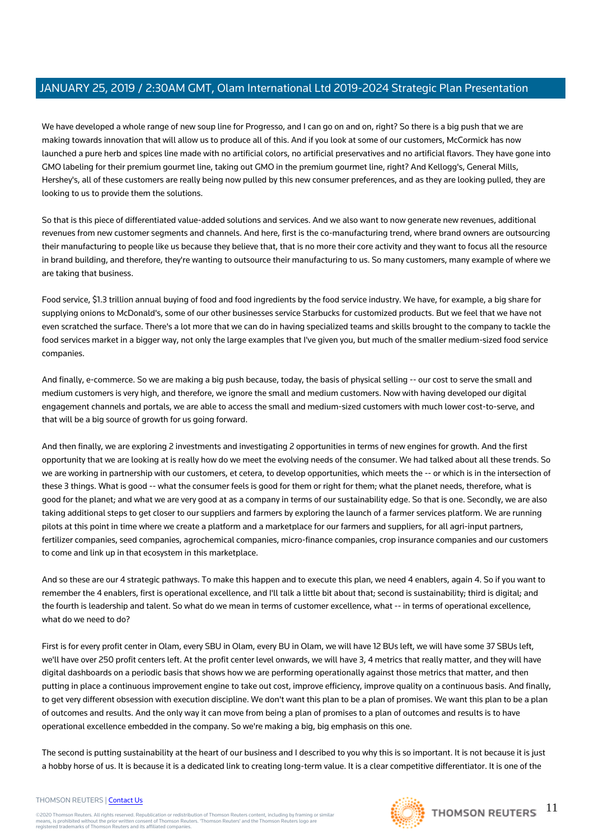We have developed a whole range of new soup line for Progresso, and I can go on and on, right? So there is a big push that we are making towards innovation that will allow us to produce all of this. And if you look at some of our customers, McCormick has now launched a pure herb and spices line made with no artificial colors, no artificial preservatives and no artificial flavors. They have gone into GMO labeling for their premium gourmet line, taking out GMO in the premium gourmet line, right? And Kellogg's, General Mills, Hershey's, all of these customers are really being now pulled by this new consumer preferences, and as they are looking pulled, they are looking to us to provide them the solutions.

So that is this piece of differentiated value-added solutions and services. And we also want to now generate new revenues, additional revenues from new customer segments and channels. And here, first is the co-manufacturing trend, where brand owners are outsourcing their manufacturing to people like us because they believe that, that is no more their core activity and they want to focus all the resource in brand building, and therefore, they're wanting to outsource their manufacturing to us. So many customers, many example of where we are taking that business.

Food service, \$1.3 trillion annual buying of food and food ingredients by the food service industry. We have, for example, a big share for supplying onions to McDonald's, some of our other businesses service Starbucks for customized products. But we feel that we have not even scratched the surface. There's a lot more that we can do in having specialized teams and skills brought to the company to tackle the food services market in a bigger way, not only the large examples that I've given you, but much of the smaller medium-sized food service companies.

And finally, e-commerce. So we are making a big push because, today, the basis of physical selling -- our cost to serve the small and medium customers is very high, and therefore, we ignore the small and medium customers. Now with having developed our digital engagement channels and portals, we are able to access the small and medium-sized customers with much lower cost-to-serve, and that will be a big source of growth for us going forward.

And then finally, we are exploring 2 investments and investigating 2 opportunities in terms of new engines for growth. And the first opportunity that we are looking at is really how do we meet the evolving needs of the consumer. We had talked about all these trends. So we are working in partnership with our customers, et cetera, to develop opportunities, which meets the -- or which is in the intersection of these 3 things. What is good -- what the consumer feels is good for them or right for them; what the planet needs, therefore, what is good for the planet; and what we are very good at as a company in terms of our sustainability edge. So that is one. Secondly, we are also taking additional steps to get closer to our suppliers and farmers by exploring the launch of a farmer services platform. We are running pilots at this point in time where we create a platform and a marketplace for our farmers and suppliers, for all agri-input partners, fertilizer companies, seed companies, agrochemical companies, micro-finance companies, crop insurance companies and our customers to come and link up in that ecosystem in this marketplace.

And so these are our 4 strategic pathways. To make this happen and to execute this plan, we need 4 enablers, again 4. So if you want to remember the 4 enablers, first is operational excellence, and I'll talk a little bit about that; second is sustainability; third is digital; and the fourth is leadership and talent. So what do we mean in terms of customer excellence, what -- in terms of operational excellence, what do we need to do?

First is for every profit center in Olam, every SBU in Olam, every BU in Olam, we will have 12 BUs left, we will have some 37 SBUs left, we'll have over 250 profit centers left. At the profit center level onwards, we will have 3, 4 metrics that really matter, and they will have digital dashboards on a periodic basis that shows how we are performing operationally against those metrics that matter, and then putting in place a continuous improvement engine to take out cost, improve efficiency, improve quality on a continuous basis. And finally, to get very different obsession with execution discipline. We don't want this plan to be a plan of promises. We want this plan to be a plan of outcomes and results. And the only way it can move from being a plan of promises to a plan of outcomes and results is to have operational excellence embedded in the company. So we're making a big, big emphasis on this one.

The second is putting sustainability at the heart of our business and I described to you why this is so important. It is not because it is just a hobby horse of us. It is because it is a dedicated link to creating long-term value. It is a clear competitive differentiator. It is one of the

#### THOMSON REUTERS | [Contact Us](https://my.thomsonreuters.com/ContactUsNew)

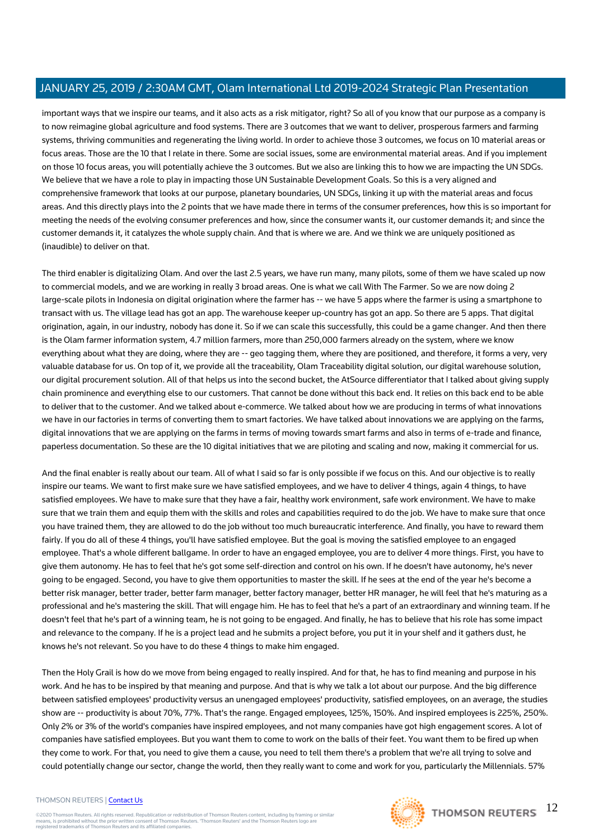important ways that we inspire our teams, and it also acts as a risk mitigator, right? So all of you know that our purpose as a company is to now reimagine global agriculture and food systems. There are 3 outcomes that we want to deliver, prosperous farmers and farming systems, thriving communities and regenerating the living world. In order to achieve those 3 outcomes, we focus on 10 material areas or focus areas. Those are the 10 that I relate in there. Some are social issues, some are environmental material areas. And if you implement on those 10 focus areas, you will potentially achieve the 3 outcomes. But we also are linking this to how we are impacting the UN SDGs. We believe that we have a role to play in impacting those UN Sustainable Development Goals. So this is a very aligned and comprehensive framework that looks at our purpose, planetary boundaries, UN SDGs, linking it up with the material areas and focus areas. And this directly plays into the 2 points that we have made there in terms of the consumer preferences, how this is so important for meeting the needs of the evolving consumer preferences and how, since the consumer wants it, our customer demands it; and since the customer demands it, it catalyzes the whole supply chain. And that is where we are. And we think we are uniquely positioned as (inaudible) to deliver on that.

The third enabler is digitalizing Olam. And over the last 2.5 years, we have run many, many pilots, some of them we have scaled up now to commercial models, and we are working in really 3 broad areas. One is what we call With The Farmer. So we are now doing 2 large-scale pilots in Indonesia on digital origination where the farmer has -- we have 5 apps where the farmer is using a smartphone to transact with us. The village lead has got an app. The warehouse keeper up-country has got an app. So there are 5 apps. That digital origination, again, in our industry, nobody has done it. So if we can scale this successfully, this could be a game changer. And then there is the Olam farmer information system, 4.7 million farmers, more than 250,000 farmers already on the system, where we know everything about what they are doing, where they are -- geo tagging them, where they are positioned, and therefore, it forms a very, very valuable database for us. On top of it, we provide all the traceability, Olam Traceability digital solution, our digital warehouse solution, our digital procurement solution. All of that helps us into the second bucket, the AtSource differentiator that I talked about giving supply chain prominence and everything else to our customers. That cannot be done without this back end. It relies on this back end to be able to deliver that to the customer. And we talked about e-commerce. We talked about how we are producing in terms of what innovations we have in our factories in terms of converting them to smart factories. We have talked about innovations we are applying on the farms, digital innovations that we are applying on the farms in terms of moving towards smart farms and also in terms of e-trade and finance, paperless documentation. So these are the 10 digital initiatives that we are piloting and scaling and now, making it commercial for us.

And the final enabler is really about our team. All of what I said so far is only possible if we focus on this. And our objective is to really inspire our teams. We want to first make sure we have satisfied employees, and we have to deliver 4 things, again 4 things, to have satisfied employees. We have to make sure that they have a fair, healthy work environment, safe work environment. We have to make sure that we train them and equip them with the skills and roles and capabilities required to do the job. We have to make sure that once you have trained them, they are allowed to do the job without too much bureaucratic interference. And finally, you have to reward them fairly. If you do all of these 4 things, you'll have satisfied employee. But the goal is moving the satisfied employee to an engaged employee. That's a whole different ballgame. In order to have an engaged employee, you are to deliver 4 more things. First, you have to give them autonomy. He has to feel that he's got some self-direction and control on his own. If he doesn't have autonomy, he's never going to be engaged. Second, you have to give them opportunities to master the skill. If he sees at the end of the year he's become a better risk manager, better trader, better farm manager, better factory manager, better HR manager, he will feel that he's maturing as a professional and he's mastering the skill. That will engage him. He has to feel that he's a part of an extraordinary and winning team. If he doesn't feel that he's part of a winning team, he is not going to be engaged. And finally, he has to believe that his role has some impact and relevance to the company. If he is a project lead and he submits a project before, you put it in your shelf and it gathers dust, he knows he's not relevant. So you have to do these 4 things to make him engaged.

Then the Holy Grail is how do we move from being engaged to really inspired. And for that, he has to find meaning and purpose in his work. And he has to be inspired by that meaning and purpose. And that is why we talk a lot about our purpose. And the big difference between satisfied employees' productivity versus an unengaged employees' productivity, satisfied employees, on an average, the studies show are -- productivity is about 70%, 77%. That's the range. Engaged employees, 125%, 150%. And inspired employees is 225%, 250%. Only 2% or 3% of the world's companies have inspired employees, and not many companies have got high engagement scores. A lot of companies have satisfied employees. But you want them to come to work on the balls of their feet. You want them to be fired up when they come to work. For that, you need to give them a cause, you need to tell them there's a problem that we're all trying to solve and could potentially change our sector, change the world, then they really want to come and work for you, particularly the Millennials. 57%

#### THOMSON REUTERS | [Contact Us](https://my.thomsonreuters.com/ContactUsNew)

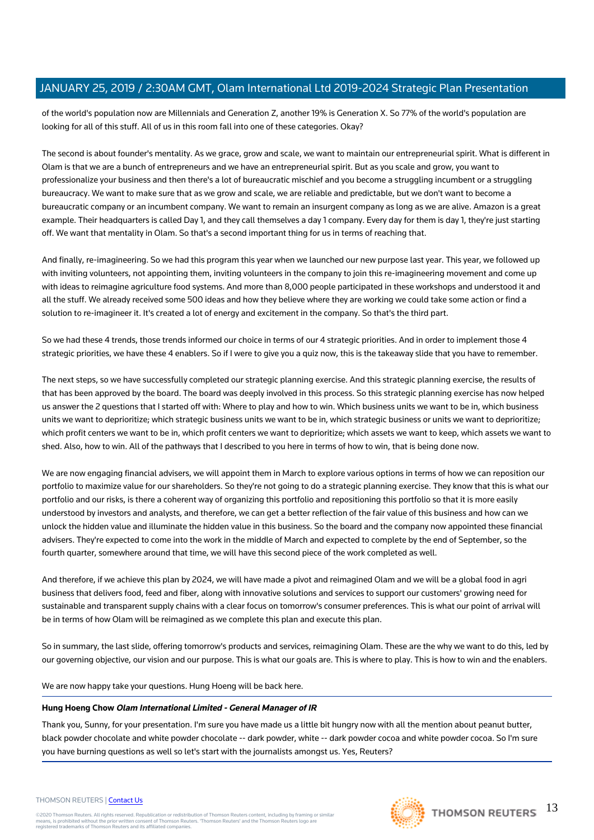of the world's population now are Millennials and Generation Z, another 19% is Generation X. So 77% of the world's population are looking for all of this stuff. All of us in this room fall into one of these categories. Okay?

The second is about founder's mentality. As we grace, grow and scale, we want to maintain our entrepreneurial spirit. What is different in Olam is that we are a bunch of entrepreneurs and we have an entrepreneurial spirit. But as you scale and grow, you want to professionalize your business and then there's a lot of bureaucratic mischief and you become a struggling incumbent or a struggling bureaucracy. We want to make sure that as we grow and scale, we are reliable and predictable, but we don't want to become a bureaucratic company or an incumbent company. We want to remain an insurgent company as long as we are alive. Amazon is a great example. Their headquarters is called Day 1, and they call themselves a day 1 company. Every day for them is day 1, they're just starting off. We want that mentality in Olam. So that's a second important thing for us in terms of reaching that.

And finally, re-imagineering. So we had this program this year when we launched our new purpose last year. This year, we followed up with inviting volunteers, not appointing them, inviting volunteers in the company to join this re-imagineering movement and come up with ideas to reimagine agriculture food systems. And more than 8,000 people participated in these workshops and understood it and all the stuff. We already received some 500 ideas and how they believe where they are working we could take some action or find a solution to re-imagineer it. It's created a lot of energy and excitement in the company. So that's the third part.

So we had these 4 trends, those trends informed our choice in terms of our 4 strategic priorities. And in order to implement those 4 strategic priorities, we have these 4 enablers. So if I were to give you a quiz now, this is the takeaway slide that you have to remember.

The next steps, so we have successfully completed our strategic planning exercise. And this strategic planning exercise, the results of that has been approved by the board. The board was deeply involved in this process. So this strategic planning exercise has now helped us answer the 2 questions that I started off with: Where to play and how to win. Which business units we want to be in, which business units we want to deprioritize; which strategic business units we want to be in, which strategic business or units we want to deprioritize; which profit centers we want to be in, which profit centers we want to deprioritize; which assets we want to keep, which assets we want to shed. Also, how to win. All of the pathways that I described to you here in terms of how to win, that is being done now.

We are now engaging financial advisers, we will appoint them in March to explore various options in terms of how we can reposition our portfolio to maximize value for our shareholders. So they're not going to do a strategic planning exercise. They know that this is what our portfolio and our risks, is there a coherent way of organizing this portfolio and repositioning this portfolio so that it is more easily understood by investors and analysts, and therefore, we can get a better reflection of the fair value of this business and how can we unlock the hidden value and illuminate the hidden value in this business. So the board and the company now appointed these financial advisers. They're expected to come into the work in the middle of March and expected to complete by the end of September, so the fourth quarter, somewhere around that time, we will have this second piece of the work completed as well.

And therefore, if we achieve this plan by 2024, we will have made a pivot and reimagined Olam and we will be a global food in agri business that delivers food, feed and fiber, along with innovative solutions and services to support our customers' growing need for sustainable and transparent supply chains with a clear focus on tomorrow's consumer preferences. This is what our point of arrival will be in terms of how Olam will be reimagined as we complete this plan and execute this plan.

So in summary, the last slide, offering tomorrow's products and services, reimagining Olam. These are the why we want to do this, led by our governing objective, our vision and our purpose. This is what our goals are. This is where to play. This is how to win and the enablers.

We are now happy take your questions. Hung Hoeng will be back here.

#### **Hung Hoeng Chow Olam International Limited - General Manager of IR**

Thank you, Sunny, for your presentation. I'm sure you have made us a little bit hungry now with all the mention about peanut butter, black powder chocolate and white powder chocolate -- dark powder, white -- dark powder cocoa and white powder cocoa. So I'm sure you have burning questions as well so let's start with the journalists amongst us. Yes, Reuters?

#### THOMSON REUTERS | [Contact Us](https://my.thomsonreuters.com/ContactUsNew)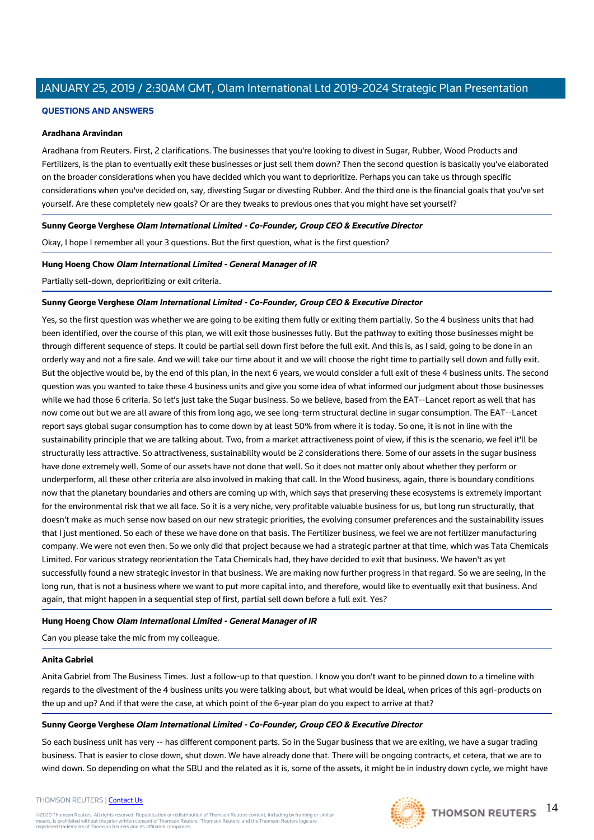## **QUESTIONS AND ANSWERS**

#### **Aradhana Aravindan**

Aradhana from Reuters. First, 2 clarifications. The businesses that you're looking to divest in Sugar, Rubber, Wood Products and Fertilizers, is the plan to eventually exit these businesses or just sell them down? Then the second question is basically you've elaborated on the broader considerations when you have decided which you want to deprioritize. Perhaps you can take us through specific considerations when you've decided on, say, divesting Sugar or divesting Rubber. And the third one is the financial goals that you've set yourself. Are these completely new goals? Or are they tweaks to previous ones that you might have set yourself?

#### **Sunny George Verghese Olam International Limited - Co-Founder, Group CEO & Executive Director**

Okay, I hope I remember all your 3 questions. But the first question, what is the first question?

#### **Hung Hoeng Chow Olam International Limited - General Manager of IR**

Partially sell-down, deprioritizing or exit criteria.

#### **Sunny George Verghese Olam International Limited - Co-Founder, Group CEO & Executive Director**

Yes, so the first question was whether we are going to be exiting them fully or exiting them partially. So the 4 business units that had been identified, over the course of this plan, we will exit those businesses fully. But the pathway to exiting those businesses might be through different sequence of steps. It could be partial sell down first before the full exit. And this is, as I said, going to be done in an orderly way and not a fire sale. And we will take our time about it and we will choose the right time to partially sell down and fully exit. But the objective would be, by the end of this plan, in the next 6 years, we would consider a full exit of these 4 business units. The second question was you wanted to take these 4 business units and give you some idea of what informed our judgment about those businesses while we had those 6 criteria. So let's just take the Sugar business. So we believe, based from the EAT--Lancet report as well that has now come out but we are all aware of this from long ago, we see long-term structural decline in sugar consumption. The EAT--Lancet report says global sugar consumption has to come down by at least 50% from where it is today. So one, it is not in line with the sustainability principle that we are talking about. Two, from a market attractiveness point of view, if this is the scenario, we feel it'll be structurally less attractive. So attractiveness, sustainability would be 2 considerations there. Some of our assets in the sugar business have done extremely well. Some of our assets have not done that well. So it does not matter only about whether they perform or underperform, all these other criteria are also involved in making that call. In the Wood business, again, there is boundary conditions now that the planetary boundaries and others are coming up with, which says that preserving these ecosystems is extremely important for the environmental risk that we all face. So it is a very niche, very profitable valuable business for us, but long run structurally, that doesn't make as much sense now based on our new strategic priorities, the evolving consumer preferences and the sustainability issues that I just mentioned. So each of these we have done on that basis. The Fertilizer business, we feel we are not fertilizer manufacturing company. We were not even then. So we only did that project because we had a strategic partner at that time, which was Tata Chemicals Limited. For various strategy reorientation the Tata Chemicals had, they have decided to exit that business. We haven't as yet successfully found a new strategic investor in that business. We are making now further progress in that regard. So we are seeing, in the long run, that is not a business where we want to put more capital into, and therefore, would like to eventually exit that business. And again, that might happen in a sequential step of first, partial sell down before a full exit. Yes?

#### **Hung Hoeng Chow Olam International Limited - General Manager of IR**

Can you please take the mic from my colleague.

#### **Anita Gabriel**

Anita Gabriel from The Business Times. Just a follow-up to that question. I know you don't want to be pinned down to a timeline with regards to the divestment of the 4 business units you were talking about, but what would be ideal, when prices of this agri-products on the up and up? And if that were the case, at which point of the 6-year plan do you expect to arrive at that?

#### **Sunny George Verghese Olam International Limited - Co-Founder, Group CEO & Executive Director**

So each business unit has very -- has different component parts. So in the Sugar business that we are exiting, we have a sugar trading business. That is easier to close down, shut down. We have already done that. There will be ongoing contracts, et cetera, that we are to wind down. So depending on what the SBU and the related as it is, some of the assets, it might be in industry down cycle, we might have

#### THOMSON REUTERS | [Contact Us](https://my.thomsonreuters.com/ContactUsNew)

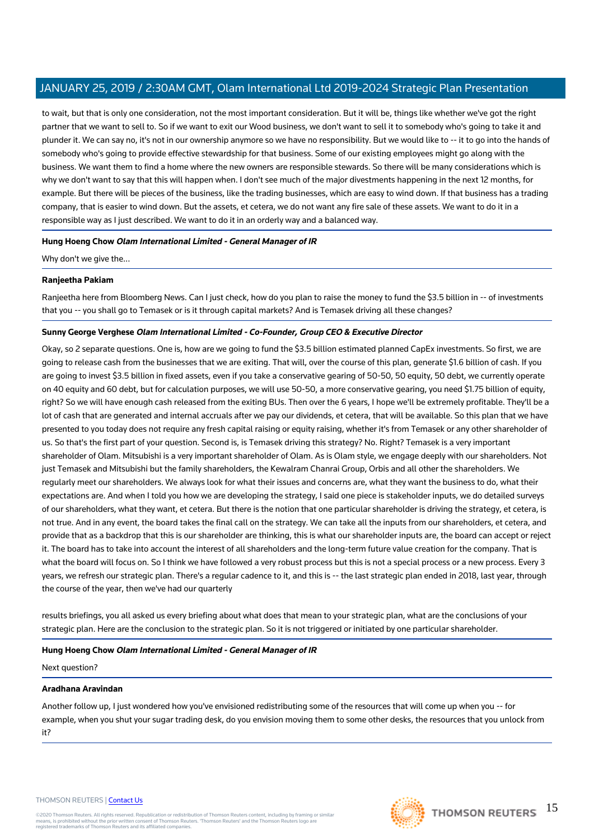to wait, but that is only one consideration, not the most important consideration. But it will be, things like whether we've got the right partner that we want to sell to. So if we want to exit our Wood business, we don't want to sell it to somebody who's going to take it and plunder it. We can say no, it's not in our ownership anymore so we have no responsibility. But we would like to -- it to go into the hands of somebody who's going to provide effective stewardship for that business. Some of our existing employees might go along with the business. We want them to find a home where the new owners are responsible stewards. So there will be many considerations which is why we don't want to say that this will happen when. I don't see much of the major divestments happening in the next 12 months, for example. But there will be pieces of the business, like the trading businesses, which are easy to wind down. If that business has a trading company, that is easier to wind down. But the assets, et cetera, we do not want any fire sale of these assets. We want to do it in a responsible way as I just described. We want to do it in an orderly way and a balanced way.

#### **Hung Hoeng Chow Olam International Limited - General Manager of IR**

Why don't we give the...

#### **Ranjeetha Pakiam**

Ranjeetha here from Bloomberg News. Can I just check, how do you plan to raise the money to fund the \$3.5 billion in -- of investments that you -- you shall go to Temasek or is it through capital markets? And is Temasek driving all these changes?

#### **Sunny George Verghese Olam International Limited - Co-Founder, Group CEO & Executive Director**

Okay, so 2 separate questions. One is, how are we going to fund the \$3.5 billion estimated planned CapEx investments. So first, we are going to release cash from the businesses that we are exiting. That will, over the course of this plan, generate \$1.6 billion of cash. If you are going to invest \$3.5 billion in fixed assets, even if you take a conservative gearing of 50-50, 50 equity, 50 debt, we currently operate on 40 equity and 60 debt, but for calculation purposes, we will use 50-50, a more conservative gearing, you need \$1.75 billion of equity, right? So we will have enough cash released from the exiting BUs. Then over the 6 years, I hope we'll be extremely profitable. They'll be a lot of cash that are generated and internal accruals after we pay our dividends, et cetera, that will be available. So this plan that we have presented to you today does not require any fresh capital raising or equity raising, whether it's from Temasek or any other shareholder of us. So that's the first part of your question. Second is, is Temasek driving this strategy? No. Right? Temasek is a very important shareholder of Olam. Mitsubishi is a very important shareholder of Olam. As is Olam style, we engage deeply with our shareholders. Not just Temasek and Mitsubishi but the family shareholders, the Kewalram Chanrai Group, Orbis and all other the shareholders. We regularly meet our shareholders. We always look for what their issues and concerns are, what they want the business to do, what their expectations are. And when I told you how we are developing the strategy, I said one piece is stakeholder inputs, we do detailed surveys of our shareholders, what they want, et cetera. But there is the notion that one particular shareholder is driving the strategy, et cetera, is not true. And in any event, the board takes the final call on the strategy. We can take all the inputs from our shareholders, et cetera, and provide that as a backdrop that this is our shareholder are thinking, this is what our shareholder inputs are, the board can accept or reject it. The board has to take into account the interest of all shareholders and the long-term future value creation for the company. That is what the board will focus on. So I think we have followed a very robust process but this is not a special process or a new process. Every 3 years, we refresh our strategic plan. There's a regular cadence to it, and this is -- the last strategic plan ended in 2018, last year, through the course of the year, then we've had our quarterly

results briefings, you all asked us every briefing about what does that mean to your strategic plan, what are the conclusions of your strategic plan. Here are the conclusion to the strategic plan. So it is not triggered or initiated by one particular shareholder.

#### **Hung Hoeng Chow Olam International Limited - General Manager of IR**

Next question?

#### **Aradhana Aravindan**

Another follow up, I just wondered how you've envisioned redistributing some of the resources that will come up when you -- for example, when you shut your sugar trading desk, do you envision moving them to some other desks, the resources that you unlock from it?

#### THOMSON REUTERS | [Contact Us](https://my.thomsonreuters.com/ContactUsNew)

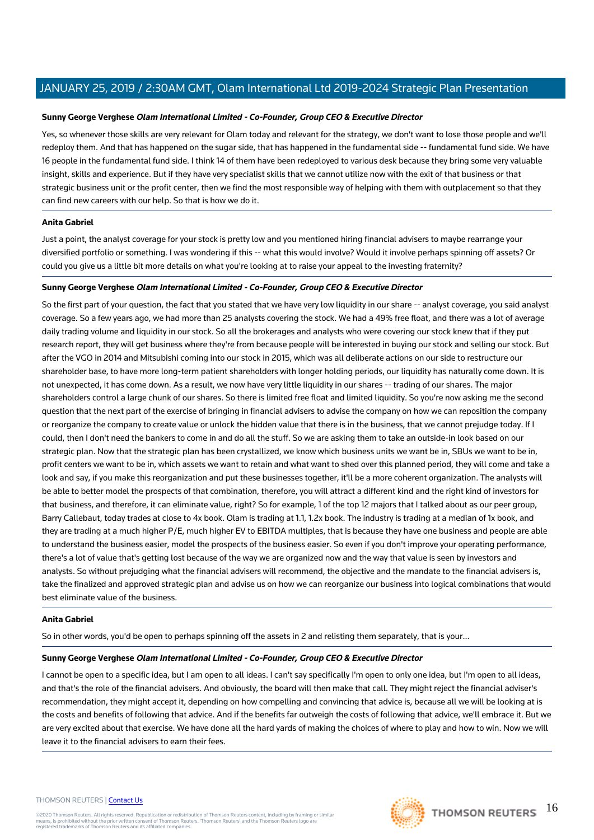#### **Sunny George Verghese Olam International Limited - Co-Founder, Group CEO & Executive Director**

Yes, so whenever those skills are very relevant for Olam today and relevant for the strategy, we don't want to lose those people and we'll redeploy them. And that has happened on the sugar side, that has happened in the fundamental side -- fundamental fund side. We have 16 people in the fundamental fund side. I think 14 of them have been redeployed to various desk because they bring some very valuable insight, skills and experience. But if they have very specialist skills that we cannot utilize now with the exit of that business or that strategic business unit or the profit center, then we find the most responsible way of helping with them with outplacement so that they can find new careers with our help. So that is how we do it.

#### **Anita Gabriel**

Just a point, the analyst coverage for your stock is pretty low and you mentioned hiring financial advisers to maybe rearrange your diversified portfolio or something. I was wondering if this -- what this would involve? Would it involve perhaps spinning off assets? Or could you give us a little bit more details on what you're looking at to raise your appeal to the investing fraternity?

#### **Sunny George Verghese Olam International Limited - Co-Founder, Group CEO & Executive Director**

So the first part of your question, the fact that you stated that we have very low liquidity in our share -- analyst coverage, you said analyst coverage. So a few years ago, we had more than 25 analysts covering the stock. We had a 49% free float, and there was a lot of average daily trading volume and liquidity in our stock. So all the brokerages and analysts who were covering our stock knew that if they put research report, they will get business where they're from because people will be interested in buying our stock and selling our stock. But after the VGO in 2014 and Mitsubishi coming into our stock in 2015, which was all deliberate actions on our side to restructure our shareholder base, to have more long-term patient shareholders with longer holding periods, our liquidity has naturally come down. It is not unexpected, it has come down. As a result, we now have very little liquidity in our shares -- trading of our shares. The major shareholders control a large chunk of our shares. So there is limited free float and limited liquidity. So you're now asking me the second question that the next part of the exercise of bringing in financial advisers to advise the company on how we can reposition the company or reorganize the company to create value or unlock the hidden value that there is in the business, that we cannot prejudge today. If I could, then I don't need the bankers to come in and do all the stuff. So we are asking them to take an outside-in look based on our strategic plan. Now that the strategic plan has been crystallized, we know which business units we want be in, SBUs we want to be in, profit centers we want to be in, which assets we want to retain and what want to shed over this planned period, they will come and take a look and say, if you make this reorganization and put these businesses together, it'll be a more coherent organization. The analysts will be able to better model the prospects of that combination, therefore, you will attract a different kind and the right kind of investors for that business, and therefore, it can eliminate value, right? So for example, 1 of the top 12 majors that I talked about as our peer group, Barry Callebaut, today trades at close to 4x book. Olam is trading at 1.1, 1.2x book. The industry is trading at a median of 1x book, and they are trading at a much higher P/E, much higher EV to EBITDA multiples, that is because they have one business and people are able to understand the business easier, model the prospects of the business easier. So even if you don't improve your operating performance, there's a lot of value that's getting lost because of the way we are organized now and the way that value is seen by investors and analysts. So without prejudging what the financial advisers will recommend, the objective and the mandate to the financial advisers is, take the finalized and approved strategic plan and advise us on how we can reorganize our business into logical combinations that would best eliminate value of the business.

#### **Anita Gabriel**

So in other words, you'd be open to perhaps spinning off the assets in 2 and relisting them separately, that is your...

#### **Sunny George Verghese Olam International Limited - Co-Founder, Group CEO & Executive Director**

I cannot be open to a specific idea, but I am open to all ideas. I can't say specifically I'm open to only one idea, but I'm open to all ideas, and that's the role of the financial advisers. And obviously, the board will then make that call. They might reject the financial adviser's recommendation, they might accept it, depending on how compelling and convincing that advice is, because all we will be looking at is the costs and benefits of following that advice. And if the benefits far outweigh the costs of following that advice, we'll embrace it. But we are very excited about that exercise. We have done all the hard yards of making the choices of where to play and how to win. Now we will leave it to the financial advisers to earn their fees.

#### THOMSON REUTERS | [Contact Us](https://my.thomsonreuters.com/ContactUsNew)

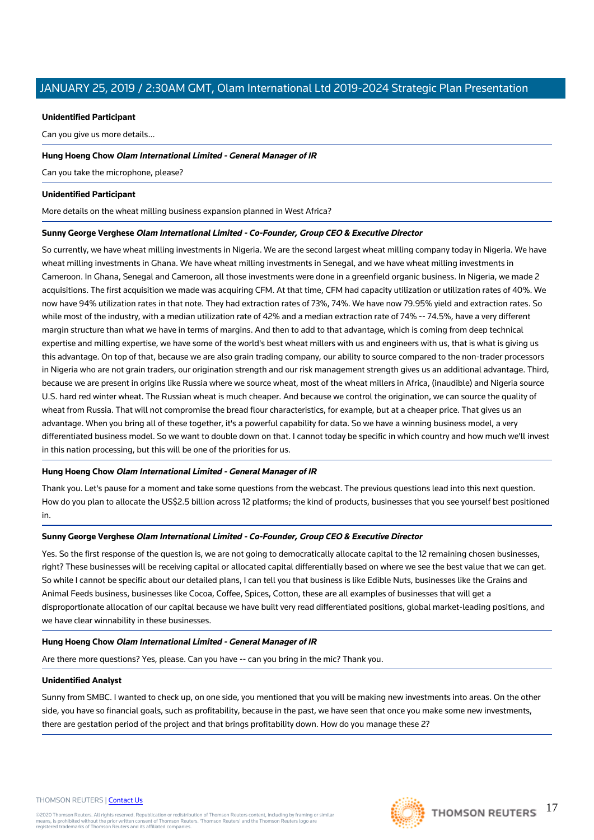#### **Unidentified Participant**

Can you give us more details...

#### **Hung Hoeng Chow Olam International Limited - General Manager of IR**

Can you take the microphone, please?

#### **Unidentified Participant**

More details on the wheat milling business expansion planned in West Africa?

#### **Sunny George Verghese Olam International Limited - Co-Founder, Group CEO & Executive Director**

So currently, we have wheat milling investments in Nigeria. We are the second largest wheat milling company today in Nigeria. We have wheat milling investments in Ghana. We have wheat milling investments in Senegal, and we have wheat milling investments in Cameroon. In Ghana, Senegal and Cameroon, all those investments were done in a greenfield organic business. In Nigeria, we made 2 acquisitions. The first acquisition we made was acquiring CFM. At that time, CFM had capacity utilization or utilization rates of 40%. We now have 94% utilization rates in that note. They had extraction rates of 73%, 74%. We have now 79.95% yield and extraction rates. So while most of the industry, with a median utilization rate of 42% and a median extraction rate of 74% -- 74.5%, have a very different margin structure than what we have in terms of margins. And then to add to that advantage, which is coming from deep technical expertise and milling expertise, we have some of the world's best wheat millers with us and engineers with us, that is what is giving us this advantage. On top of that, because we are also grain trading company, our ability to source compared to the non-trader processors in Nigeria who are not grain traders, our origination strength and our risk management strength gives us an additional advantage. Third, because we are present in origins like Russia where we source wheat, most of the wheat millers in Africa, (inaudible) and Nigeria source U.S. hard red winter wheat. The Russian wheat is much cheaper. And because we control the origination, we can source the quality of wheat from Russia. That will not compromise the bread flour characteristics, for example, but at a cheaper price. That gives us an advantage. When you bring all of these together, it's a powerful capability for data. So we have a winning business model, a very differentiated business model. So we want to double down on that. I cannot today be specific in which country and how much we'll invest in this nation processing, but this will be one of the priorities for us.

#### **Hung Hoeng Chow Olam International Limited - General Manager of IR**

Thank you. Let's pause for a moment and take some questions from the webcast. The previous questions lead into this next question. How do you plan to allocate the US\$2.5 billion across 12 platforms; the kind of products, businesses that you see yourself best positioned in.

#### **Sunny George Verghese Olam International Limited - Co-Founder, Group CEO & Executive Director**

Yes. So the first response of the question is, we are not going to democratically allocate capital to the 12 remaining chosen businesses. right? These businesses will be receiving capital or allocated capital differentially based on where we see the best value that we can get. So while I cannot be specific about our detailed plans, I can tell you that business is like Edible Nuts, businesses like the Grains and Animal Feeds business, businesses like Cocoa, Coffee, Spices, Cotton, these are all examples of businesses that will get a disproportionate allocation of our capital because we have built very read differentiated positions, global market-leading positions, and we have clear winnability in these businesses.

#### **Hung Hoeng Chow Olam International Limited - General Manager of IR**

Are there more questions? Yes, please. Can you have -- can you bring in the mic? Thank you.

#### **Unidentified Analyst**

Sunny from SMBC. I wanted to check up, on one side, you mentioned that you will be making new investments into areas. On the other side, you have so financial goals, such as profitability, because in the past, we have seen that once you make some new investments, there are gestation period of the project and that brings profitability down. How do you manage these 2?

#### THOMSON REUTERS | [Contact Us](https://my.thomsonreuters.com/ContactUsNew)

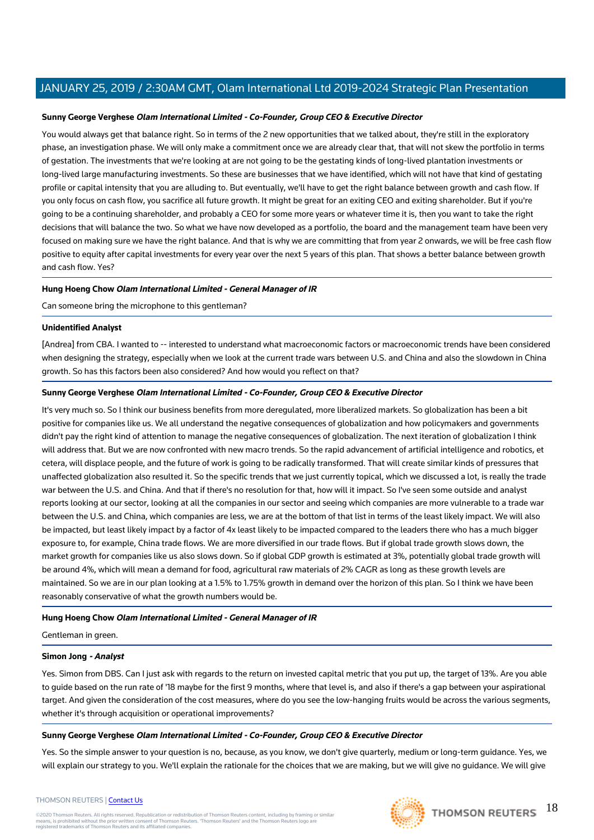#### **Sunny George Verghese Olam International Limited - Co-Founder, Group CEO & Executive Director**

You would always get that balance right. So in terms of the 2 new opportunities that we talked about, they're still in the exploratory phase, an investigation phase. We will only make a commitment once we are already clear that, that will not skew the portfolio in terms of gestation. The investments that we're looking at are not going to be the gestating kinds of long-lived plantation investments or long-lived large manufacturing investments. So these are businesses that we have identified, which will not have that kind of gestating profile or capital intensity that you are alluding to. But eventually, we'll have to get the right balance between growth and cash flow. If you only focus on cash flow, you sacrifice all future growth. It might be great for an exiting CEO and exiting shareholder. But if you're going to be a continuing shareholder, and probably a CEO for some more years or whatever time it is, then you want to take the right decisions that will balance the two. So what we have now developed as a portfolio, the board and the management team have been very focused on making sure we have the right balance. And that is why we are committing that from year 2 onwards, we will be free cash flow positive to equity after capital investments for every year over the next 5 years of this plan. That shows a better balance between growth and cash flow. Yes?

#### **Hung Hoeng Chow Olam International Limited - General Manager of IR**

Can someone bring the microphone to this gentleman?

#### **Unidentified Analyst**

[Andrea] from CBA. I wanted to -- interested to understand what macroeconomic factors or macroeconomic trends have been considered when designing the strategy, especially when we look at the current trade wars between U.S. and China and also the slowdown in China growth. So has this factors been also considered? And how would you reflect on that?

## **Sunny George Verghese Olam International Limited - Co-Founder, Group CEO & Executive Director**

It's very much so. So I think our business benefits from more deregulated, more liberalized markets. So globalization has been a bit positive for companies like us. We all understand the negative consequences of globalization and how policymakers and governments didn't pay the right kind of attention to manage the negative consequences of globalization. The next iteration of globalization I think will address that. But we are now confronted with new macro trends. So the rapid advancement of artificial intelligence and robotics, et cetera, will displace people, and the future of work is going to be radically transformed. That will create similar kinds of pressures that unaffected globalization also resulted it. So the specific trends that we just currently topical, which we discussed a lot, is really the trade war between the U.S. and China. And that if there's no resolution for that, how will it impact. So I've seen some outside and analyst reports looking at our sector, looking at all the companies in our sector and seeing which companies are more vulnerable to a trade war between the U.S. and China, which companies are less, we are at the bottom of that list in terms of the least likely impact. We will also be impacted, but least likely impact by a factor of 4x least likely to be impacted compared to the leaders there who has a much bigger exposure to, for example, China trade flows. We are more diversified in our trade flows. But if global trade growth slows down, the market growth for companies like us also slows down. So if global GDP growth is estimated at 3%, potentially global trade growth will be around 4%, which will mean a demand for food, agricultural raw materials of 2% CAGR as long as these growth levels are maintained. So we are in our plan looking at a 1.5% to 1.75% growth in demand over the horizon of this plan. So I think we have been reasonably conservative of what the growth numbers would be.

#### **Hung Hoeng Chow Olam International Limited - General Manager of IR**

Gentleman in green.

#### **Simon Jong - Analyst**

Yes. Simon from DBS. Can I just ask with regards to the return on invested capital metric that you put up, the target of 13%. Are you able to guide based on the run rate of '18 maybe for the first 9 months, where that level is, and also if there's a gap between your aspirational target. And given the consideration of the cost measures, where do you see the low-hanging fruits would be across the various segments, whether it's through acquisition or operational improvements?

#### **Sunny George Verghese Olam International Limited - Co-Founder, Group CEO & Executive Director**

Yes. So the simple answer to your question is no, because, as you know, we don't give quarterly, medium or long-term guidance. Yes, we will explain our strategy to you. We'll explain the rationale for the choices that we are making, but we will give no guidance. We will give

#### THOMSON REUTERS | [Contact Us](https://my.thomsonreuters.com/ContactUsNew)

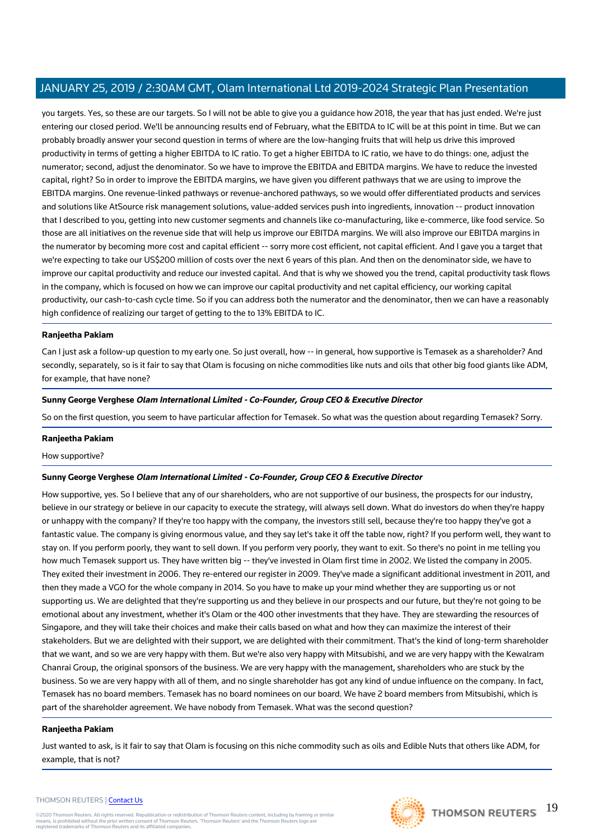you targets. Yes, so these are our targets. So I will not be able to give you a guidance how 2018, the year that has just ended. We're just entering our closed period. We'll be announcing results end of February, what the EBITDA to IC will be at this point in time. But we can probably broadly answer your second question in terms of where are the low-hanging fruits that will help us drive this improved productivity in terms of getting a higher EBITDA to IC ratio. To get a higher EBITDA to IC ratio, we have to do things: one, adjust the numerator; second, adjust the denominator. So we have to improve the EBITDA and EBITDA margins. We have to reduce the invested capital, right? So in order to improve the EBITDA margins, we have given you different pathways that we are using to improve the EBITDA margins. One revenue-linked pathways or revenue-anchored pathways, so we would offer differentiated products and services and solutions like AtSource risk management solutions, value-added services push into ingredients, innovation -- product innovation that I described to you, getting into new customer segments and channels like co-manufacturing, like e-commerce, like food service. So those are all initiatives on the revenue side that will help us improve our EBITDA margins. We will also improve our EBITDA margins in the numerator by becoming more cost and capital efficient -- sorry more cost efficient, not capital efficient. And I gave you a target that we're expecting to take our US\$200 million of costs over the next 6 years of this plan. And then on the denominator side, we have to improve our capital productivity and reduce our invested capital. And that is why we showed you the trend, capital productivity task flows in the company, which is focused on how we can improve our capital productivity and net capital efficiency, our working capital productivity, our cash-to-cash cycle time. So if you can address both the numerator and the denominator, then we can have a reasonably high confidence of realizing our target of getting to the to 13% EBITDA to IC.

#### **Ranjeetha Pakiam**

Can I just ask a follow-up question to my early one. So just overall, how -- in general, how supportive is Temasek as a shareholder? And secondly, separately, so is it fair to say that Olam is focusing on niche commodities like nuts and oils that other big food giants like ADM, for example, that have none?

#### **Sunny George Verghese Olam International Limited - Co-Founder, Group CEO & Executive Director**

So on the first question, you seem to have particular affection for Temasek. So what was the question about regarding Temasek? Sorry.

#### **Ranjeetha Pakiam**

How supportive?

#### **Sunny George Verghese Olam International Limited - Co-Founder, Group CEO & Executive Director**

How supportive, yes. So I believe that any of our shareholders, who are not supportive of our business, the prospects for our industry, believe in our strategy or believe in our capacity to execute the strategy, will always sell down. What do investors do when they're happy or unhappy with the company? If they're too happy with the company, the investors still sell, because they're too happy they've got a fantastic value. The company is giving enormous value, and they say let's take it off the table now, right? If you perform well, they want to stay on. If you perform poorly, they want to sell down. If you perform very poorly, they want to exit. So there's no point in me telling you how much Temasek support us. They have written big -- they've invested in Olam first time in 2002. We listed the company in 2005. They exited their investment in 2006. They re-entered our register in 2009. They've made a significant additional investment in 2011, and then they made a VGO for the whole company in 2014. So you have to make up your mind whether they are supporting us or not supporting us. We are delighted that they're supporting us and they believe in our prospects and our future, but they're not going to be emotional about any investment, whether it's Olam or the 400 other investments that they have. They are stewarding the resources of Singapore, and they will take their choices and make their calls based on what and how they can maximize the interest of their stakeholders. But we are delighted with their support, we are delighted with their commitment. That's the kind of long-term shareholder that we want, and so we are very happy with them. But we're also very happy with Mitsubishi, and we are very happy with the Kewalram Chanrai Group, the original sponsors of the business. We are very happy with the management, shareholders who are stuck by the business. So we are very happy with all of them, and no single shareholder has got any kind of undue influence on the company. In fact, Temasek has no board members. Temasek has no board nominees on our board. We have 2 board members from Mitsubishi, which is part of the shareholder agreement. We have nobody from Temasek. What was the second question?

#### **Ranjeetha Pakiam**

Just wanted to ask, is it fair to say that Olam is focusing on this niche commodity such as oils and Edible Nuts that others like ADM, for example, that is not?

#### THOMSON REUTERS | [Contact Us](https://my.thomsonreuters.com/ContactUsNew)

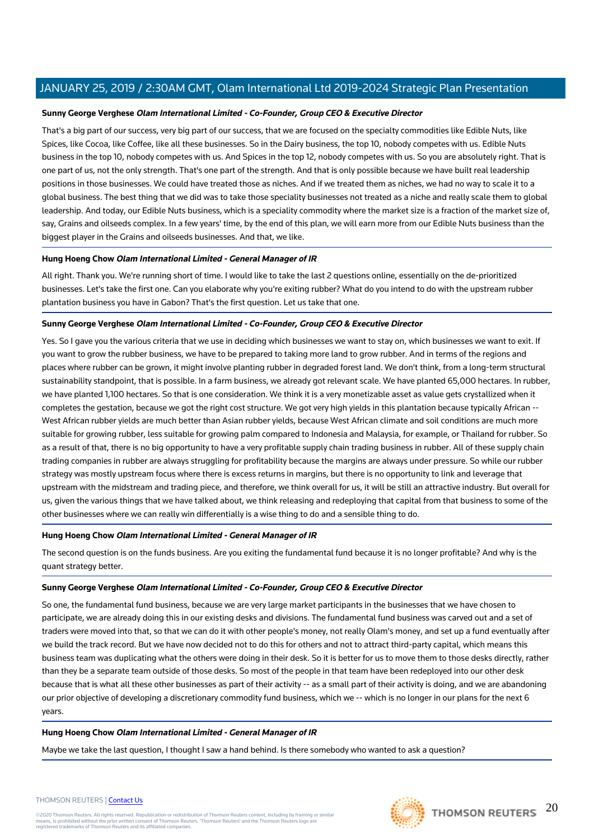#### **Sunny George Verghese Olam International Limited - Co-Founder, Group CEO & Executive Director**

That's a big part of our success, very big part of our success, that we are focused on the specialty commodities like Edible Nuts, like Spices, like Cocoa, like Coffee, like all these businesses. So in the Dairy business, the top 10, nobody competes with us. Edible Nuts business in the top 10, nobody competes with us. And Spices in the top 12, nobody competes with us. So you are absolutely right. That is one part of us, not the only strength. That's one part of the strength. And that is only possible because we have built real leadership positions in those businesses. We could have treated those as niches. And if we treated them as niches, we had no way to scale it to a global business. The best thing that we did was to take those speciality businesses not treated as a niche and really scale them to global leadership. And today, our Edible Nuts business, which is a speciality commodity where the market size is a fraction of the market size of, say, Grains and oilseeds complex. In a few years' time, by the end of this plan, we will earn more from our Edible Nuts business than the biggest player in the Grains and oilseeds businesses. And that, we like.

#### **Hung Hoeng Chow Olam International Limited - General Manager of IR**

All right. Thank you. We're running short of time. I would like to take the last 2 questions online, essentially on the de-prioritized businesses. Let's take the first one. Can you elaborate why you're exiting rubber? What do you intend to do with the upstream rubber plantation business you have in Gabon? That's the first question. Let us take that one.

#### **Sunny George Verghese Olam International Limited - Co-Founder, Group CEO & Executive Director**

Yes. So I gave you the various criteria that we use in deciding which businesses we want to stay on, which businesses we want to exit. If you want to grow the rubber business, we have to be prepared to taking more land to grow rubber. And in terms of the regions and places where rubber can be grown, it might involve planting rubber in degraded forest land. We don't think, from a long-term structural sustainability standpoint, that is possible. In a farm business, we already got relevant scale. We have planted 65,000 hectares. In rubber, we have planted 1,100 hectares. So that is one consideration. We think it is a very monetizable asset as value gets crystallized when it completes the gestation, because we got the right cost structure. We got very high yields in this plantation because typically African -- West African rubber yields are much better than Asian rubber yields, because West African climate and soil conditions are much more suitable for growing rubber, less suitable for growing palm compared to Indonesia and Malaysia, for example, or Thailand for rubber. So as a result of that, there is no big opportunity to have a very profitable supply chain trading business in rubber. All of these supply chain trading companies in rubber are always struggling for profitability because the margins are always under pressure. So while our rubber strategy was mostly upstream focus where there is excess returns in margins, but there is no opportunity to link and leverage that upstream with the midstream and trading piece, and therefore, we think overall for us, it will be still an attractive industry. But overall for us, given the various things that we have talked about, we think releasing and redeploying that capital from that business to some of the other businesses where we can really win differentially is a wise thing to do and a sensible thing to do.

#### **Hung Hoeng Chow Olam International Limited - General Manager of IR**

The second question is on the funds business. Are you exiting the fundamental fund because it is no longer profitable? And why is the quant strategy better.

#### **Sunny George Verghese Olam International Limited - Co-Founder, Group CEO & Executive Director**

So one, the fundamental fund business, because we are very large market participants in the businesses that we have chosen to participate, we are already doing this in our existing desks and divisions. The fundamental fund business was carved out and a set of traders were moved into that, so that we can do it with other people's money, not really Olam's money, and set up a fund eventually after we build the track record. But we have now decided not to do this for others and not to attract third-party capital, which means this business team was duplicating what the others were doing in their desk. So it is better for us to move them to those desks directly, rather than they be a separate team outside of those desks. So most of the people in that team have been redeployed into our other desk because that is what all these other businesses as part of their activity -- as a small part of their activity is doing, and we are abandoning our prior objective of developing a discretionary commodity fund business, which we -- which is no longer in our plans for the next 6 years.

#### **Hung Hoeng Chow Olam International Limited - General Manager of IR**

Maybe we take the last question, I thought I saw a hand behind. Is there somebody who wanted to ask a question?

#### THOMSON REUTERS | [Contact Us](https://my.thomsonreuters.com/ContactUsNew)

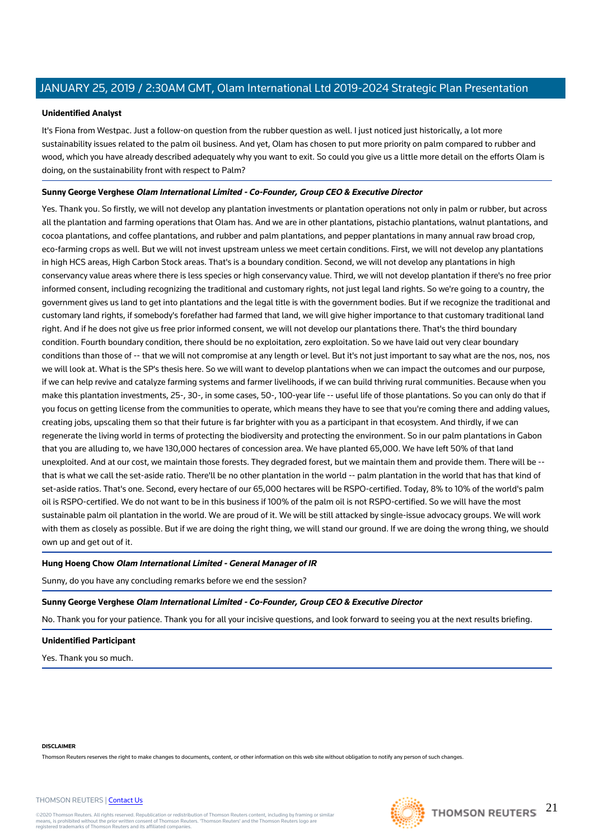#### **Unidentified Analyst**

It's Fiona from Westpac. Just a follow-on question from the rubber question as well. I just noticed just historically, a lot more sustainability issues related to the palm oil business. And yet, Olam has chosen to put more priority on palm compared to rubber and wood, which you have already described adequately why you want to exit. So could you give us a little more detail on the efforts Olam is doing, on the sustainability front with respect to Palm?

### **Sunny George Verghese Olam International Limited - Co-Founder, Group CEO & Executive Director**

Yes. Thank you. So firstly, we will not develop any plantation investments or plantation operations not only in palm or rubber, but across all the plantation and farming operations that Olam has. And we are in other plantations, pistachio plantations, walnut plantations, and cocoa plantations, and coffee plantations, and rubber and palm plantations, and pepper plantations in many annual raw broad crop, eco-farming crops as well. But we will not invest upstream unless we meet certain conditions. First, we will not develop any plantations in high HCS areas, High Carbon Stock areas. That's is a boundary condition. Second, we will not develop any plantations in high conservancy value areas where there is less species or high conservancy value. Third, we will not develop plantation if there's no free prior informed consent, including recognizing the traditional and customary rights, not just legal land rights. So we're going to a country, the government gives us land to get into plantations and the legal title is with the government bodies. But if we recognize the traditional and customary land rights, if somebody's forefather had farmed that land, we will give higher importance to that customary traditional land right. And if he does not give us free prior informed consent, we will not develop our plantations there. That's the third boundary condition. Fourth boundary condition, there should be no exploitation, zero exploitation. So we have laid out very clear boundary conditions than those of -- that we will not compromise at any length or level. But it's not just important to say what are the nos, nos, nos we will look at. What is the SP's thesis here. So we will want to develop plantations when we can impact the outcomes and our purpose, if we can help revive and catalyze farming systems and farmer livelihoods, if we can build thriving rural communities. Because when you make this plantation investments, 25-, 30-, in some cases, 50-, 100-year life -- useful life of those plantations. So you can only do that if you focus on getting license from the communities to operate, which means they have to see that you're coming there and adding values, creating jobs, upscaling them so that their future is far brighter with you as a participant in that ecosystem. And thirdly, if we can regenerate the living world in terms of protecting the biodiversity and protecting the environment. So in our palm plantations in Gabon that you are alluding to, we have 130,000 hectares of concession area. We have planted 65,000. We have left 50% of that land unexploited. And at our cost, we maintain those forests. They degraded forest, but we maintain them and provide them. There will be - that is what we call the set-aside ratio. There'll be no other plantation in the world -- palm plantation in the world that has that kind of set-aside ratios. That's one. Second, every hectare of our 65,000 hectares will be RSPO-certified. Today, 8% to 10% of the world's palm oil is RSPO-certified. We do not want to be in this business if 100% of the palm oil is not RSPO-certified. So we will have the most sustainable palm oil plantation in the world. We are proud of it. We will be still attacked by single-issue advocacy groups. We will work with them as closely as possible. But if we are doing the right thing, we will stand our ground. If we are doing the wrong thing, we should own up and get out of it.

#### **Hung Hoeng Chow Olam International Limited - General Manager of IR**

Sunny, do you have any concluding remarks before we end the session?

#### **Sunny George Verghese Olam International Limited - Co-Founder, Group CEO & Executive Director**

No. Thank you for your patience. Thank you for all your incisive questions, and look forward to seeing you at the next results briefing.

#### **Unidentified Participant**

Yes. Thank you so much.

THOMSON REUTERS | [Contact Us](https://my.thomsonreuters.com/ContactUsNew)

#### **DISCLAIMER**

Thomson Reuters reserves the right to make changes to documents, content, or other information on this web site without obligation to notify any person of such changes.